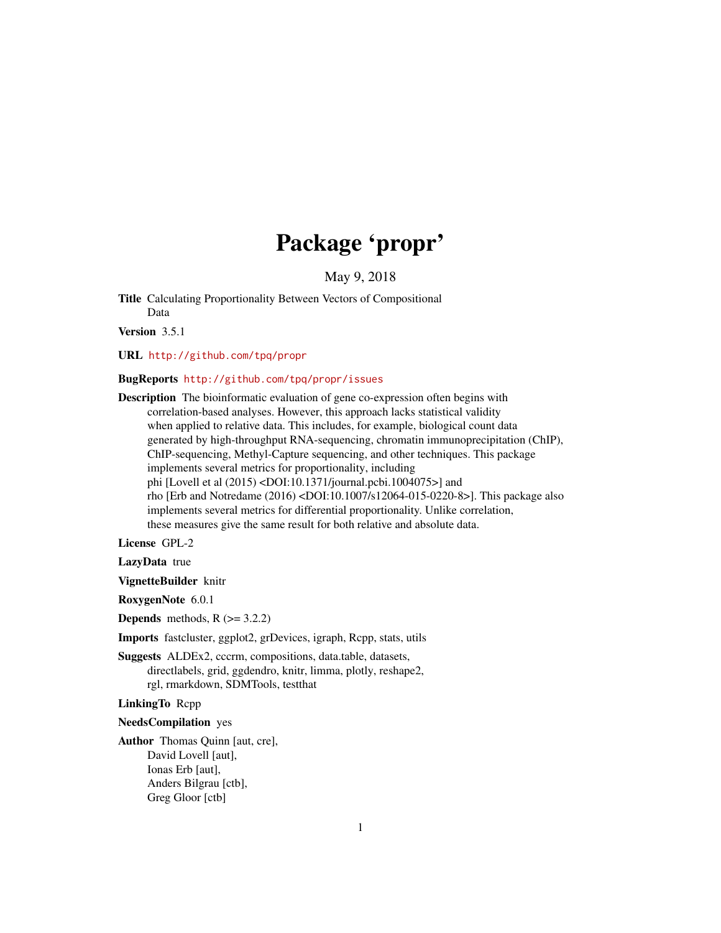# Package 'propr'

May 9, 2018

<span id="page-0-0"></span>Title Calculating Proportionality Between Vectors of Compositional Data

Version 3.5.1

URL <http://github.com/tpq/propr>

#### BugReports <http://github.com/tpq/propr/issues>

Description The bioinformatic evaluation of gene co-expression often begins with correlation-based analyses. However, this approach lacks statistical validity when applied to relative data. This includes, for example, biological count data generated by high-throughput RNA-sequencing, chromatin immunoprecipitation (ChIP), ChIP-sequencing, Methyl-Capture sequencing, and other techniques. This package implements several metrics for proportionality, including phi [Lovell et al (2015) <DOI:10.1371/journal.pcbi.1004075>] and rho [Erb and Notredame (2016) <DOI:10.1007/s12064-015-0220-8>]. This package also implements several metrics for differential proportionality. Unlike correlation, these measures give the same result for both relative and absolute data.

License GPL-2

LazyData true

VignetteBuilder knitr

RoxygenNote 6.0.1

**Depends** methods,  $R$  ( $> = 3.2.2$ )

Imports fastcluster, ggplot2, grDevices, igraph, Rcpp, stats, utils

Suggests ALDEx2, cccrm, compositions, data.table, datasets, directlabels, grid, ggdendro, knitr, limma, plotly, reshape2, rgl, rmarkdown, SDMTools, testthat

# LinkingTo Rcpp

NeedsCompilation yes

Author Thomas Quinn [aut, cre], David Lovell [aut], Ionas Erb [aut], Anders Bilgrau [ctb], Greg Gloor [ctb]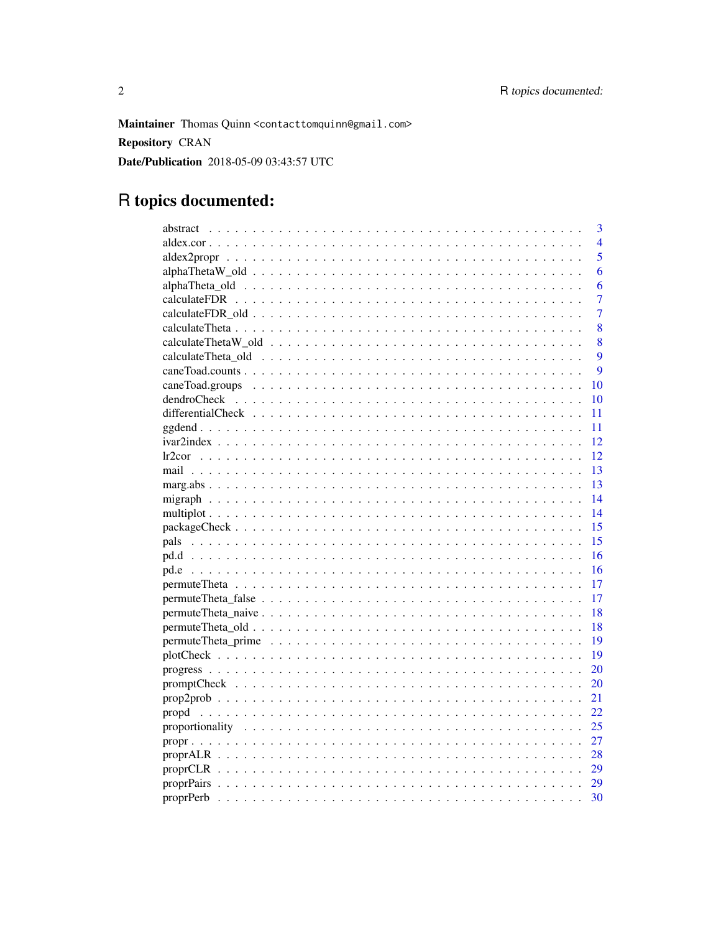Maintainer Thomas Quinn <contacttomquinn@gmail.com> **Repository CRAN** Date/Publication 2018-05-09 03:43:57 UTC

# R topics documented:

|       | 3              |
|-------|----------------|
|       | $\overline{4}$ |
|       | 5              |
|       | 6              |
|       | 6              |
|       | $\overline{7}$ |
|       | $\overline{7}$ |
|       | 8              |
|       | 8              |
|       | 9              |
|       | $\mathbf Q$    |
|       | 10             |
|       | 10             |
|       | 11             |
|       | 11             |
|       | 12             |
|       | 12             |
|       | 13             |
|       | 13             |
|       | 14             |
|       | 14             |
|       | 15             |
|       | 15             |
|       | 16             |
|       | 16             |
|       | 17             |
|       | 17             |
|       | 18             |
|       | 18             |
|       | 19             |
|       | 19             |
|       | 20             |
|       | 20             |
|       | 21             |
| propd | 22             |
|       | 25             |
|       | 27             |
|       | 28             |
|       | 29             |
|       | 29             |
|       | 30             |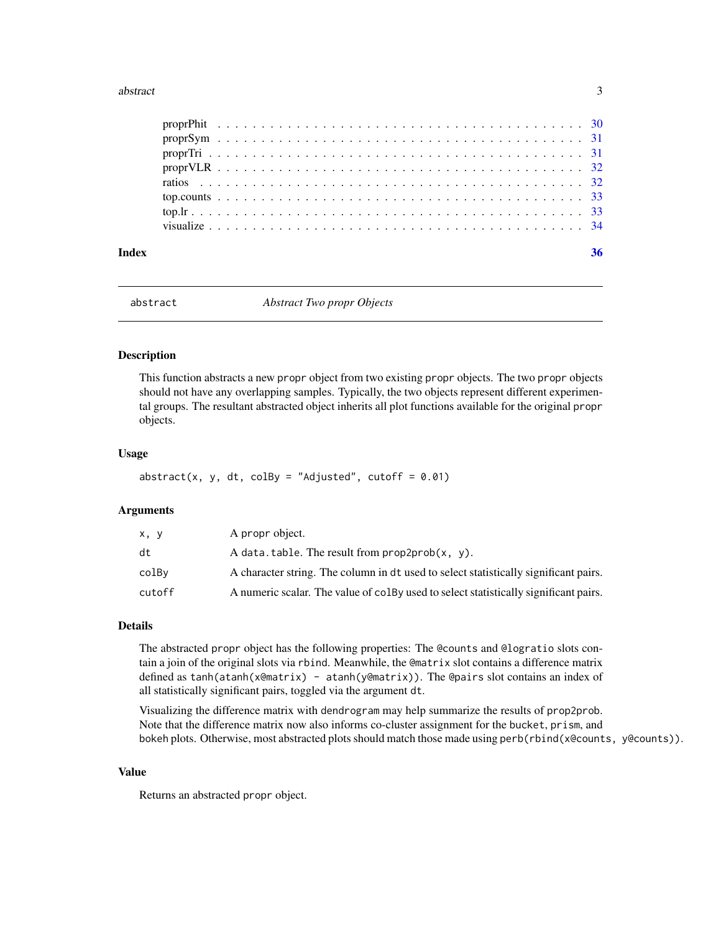#### <span id="page-2-0"></span>abstract 3

| Index |  |  |  |  |  |  |  |  |  |  |  |  |  |  |  |  |  |  |  |  |  | 36 |
|-------|--|--|--|--|--|--|--|--|--|--|--|--|--|--|--|--|--|--|--|--|--|----|
|       |  |  |  |  |  |  |  |  |  |  |  |  |  |  |  |  |  |  |  |  |  |    |
|       |  |  |  |  |  |  |  |  |  |  |  |  |  |  |  |  |  |  |  |  |  |    |
|       |  |  |  |  |  |  |  |  |  |  |  |  |  |  |  |  |  |  |  |  |  |    |
|       |  |  |  |  |  |  |  |  |  |  |  |  |  |  |  |  |  |  |  |  |  |    |
|       |  |  |  |  |  |  |  |  |  |  |  |  |  |  |  |  |  |  |  |  |  |    |
|       |  |  |  |  |  |  |  |  |  |  |  |  |  |  |  |  |  |  |  |  |  |    |
|       |  |  |  |  |  |  |  |  |  |  |  |  |  |  |  |  |  |  |  |  |  |    |
|       |  |  |  |  |  |  |  |  |  |  |  |  |  |  |  |  |  |  |  |  |  |    |

<span id="page-2-1"></span>

abstract *Abstract Two propr Objects*

#### Description

This function abstracts a new propr object from two existing propr objects. The two propr objects should not have any overlapping samples. Typically, the two objects represent different experimental groups. The resultant abstracted object inherits all plot functions available for the original propr objects.

#### Usage

```
abstract(x, y, dt, colBy = "Adjusted", cutoff = 0.01)
```
#### Arguments

| x, y   | A propr object.                                                                      |
|--------|--------------------------------------------------------------------------------------|
| dt     | A data. table. The result from $prop2prob(x, y)$ .                                   |
| colBy  | A character string. The column in dt used to select statistically significant pairs. |
| cutoff | A numeric scalar. The value of colby used to select statistically significant pairs. |

# Details

The abstracted propr object has the following properties: The @counts and @logratio slots contain a join of the original slots via rbind. Meanwhile, the @matrix slot contains a difference matrix defined as tanh(atanh(x@matrix) - atanh(y@matrix)). The @pairs slot contains an index of all statistically significant pairs, toggled via the argument dt.

Visualizing the difference matrix with dendrogram may help summarize the results of prop2prob. Note that the difference matrix now also informs co-cluster assignment for the bucket, prism, and bokeh plots. Otherwise, most abstracted plots should match those made using perb(rbind(x@counts, y@counts)).

#### Value

Returns an abstracted propr object.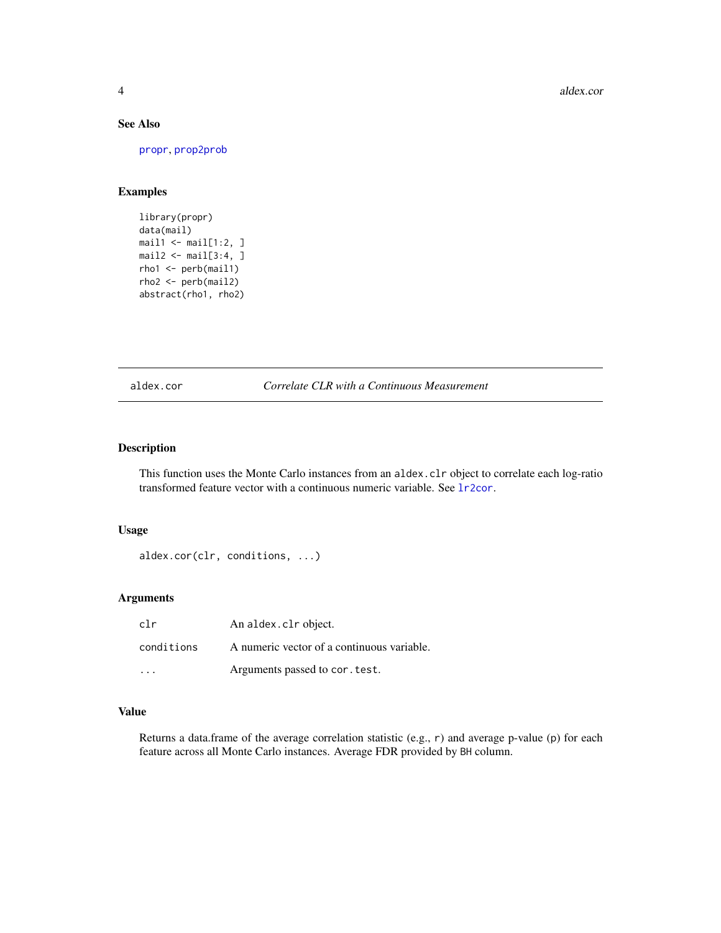# See Also

[propr](#page-26-1), [prop2prob](#page-20-1)

#### Examples

```
library(propr)
data(mail)
mail1 < -mail[1:2, ]mail2 < - mail[3:4, ]rho1 <- perb(mail1)
rho2 <- perb(mail2)
abstract(rho1, rho2)
```
aldex.cor *Correlate CLR with a Continuous Measurement*

# Description

This function uses the Monte Carlo instances from an aldex.clr object to correlate each log-ratio transformed feature vector with a continuous numeric variable. See [lr2cor](#page-11-1).

# Usage

```
aldex.cor(clr, conditions, ...)
```
#### Arguments

| clr        | An aldex.clr object.                       |
|------------|--------------------------------------------|
| conditions | A numeric vector of a continuous variable. |
|            | Arguments passed to cor. test.             |

#### Value

Returns a data.frame of the average correlation statistic (e.g., r) and average p-value (p) for each feature across all Monte Carlo instances. Average FDR provided by BH column.

<span id="page-3-0"></span>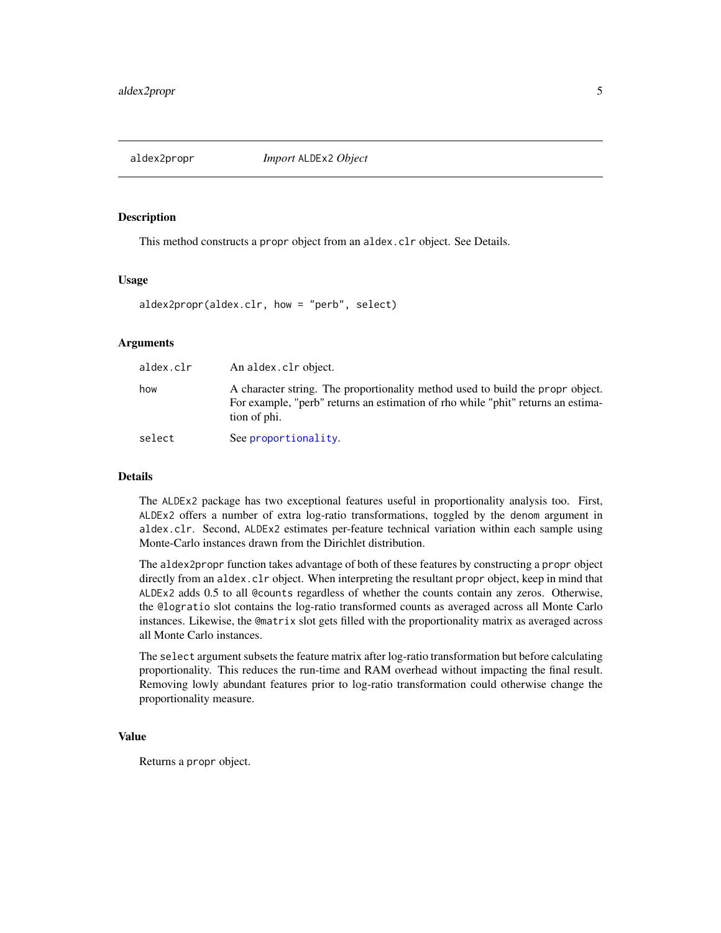<span id="page-4-1"></span><span id="page-4-0"></span>

This method constructs a propr object from an aldex.clr object. See Details.

#### Usage

```
aldex2propr(aldex.clr, how = "perb", select)
```
# **Arguments**

| aldex.clr | An aldex.clr object.                                                                                                                                                               |
|-----------|------------------------------------------------------------------------------------------------------------------------------------------------------------------------------------|
| how       | A character string. The proportionality method used to build the propr object.<br>For example, "perb" returns an estimation of rho while "phit" returns an estima-<br>tion of phi. |
| select    | See proportionality.                                                                                                                                                               |

#### Details

The ALDEx2 package has two exceptional features useful in proportionality analysis too. First, ALDEx2 offers a number of extra log-ratio transformations, toggled by the denom argument in aldex.clr. Second, ALDEx2 estimates per-feature technical variation within each sample using Monte-Carlo instances drawn from the Dirichlet distribution.

The aldex2propr function takes advantage of both of these features by constructing a propr object directly from an aldex.clr object. When interpreting the resultant propr object, keep in mind that ALDEx2 adds 0.5 to all @counts regardless of whether the counts contain any zeros. Otherwise, the @logratio slot contains the log-ratio transformed counts as averaged across all Monte Carlo instances. Likewise, the @matrix slot gets filled with the proportionality matrix as averaged across all Monte Carlo instances.

The select argument subsets the feature matrix after log-ratio transformation but before calculating proportionality. This reduces the run-time and RAM overhead without impacting the final result. Removing lowly abundant features prior to log-ratio transformation could otherwise change the proportionality measure.

#### Value

Returns a propr object.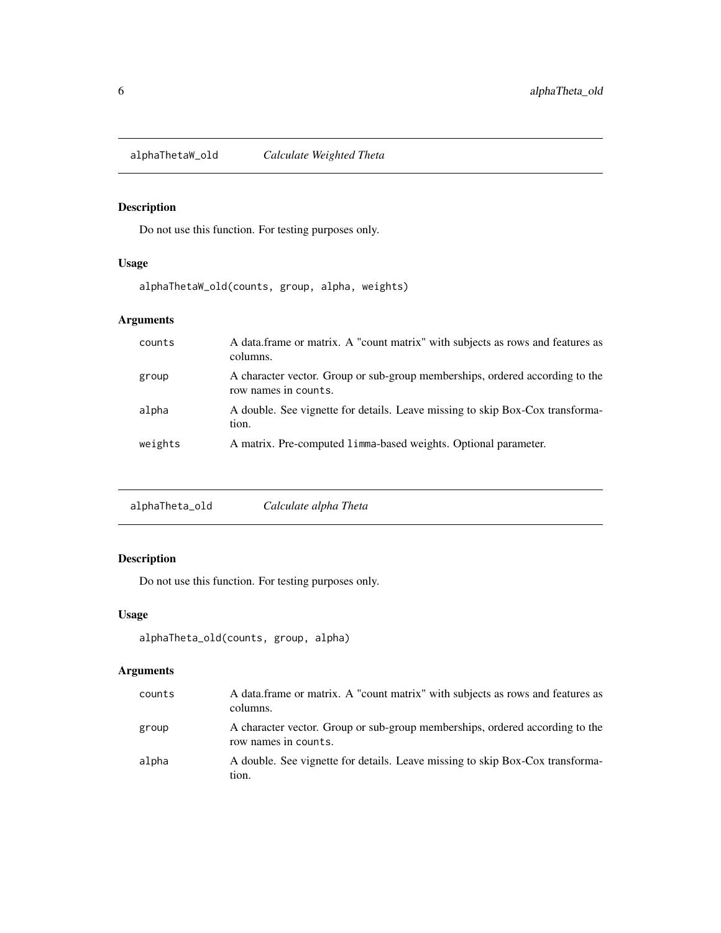<span id="page-5-0"></span>alphaThetaW\_old *Calculate Weighted Theta*

# Description

Do not use this function. For testing purposes only.

# Usage

alphaThetaW\_old(counts, group, alpha, weights)

# Arguments

| counts  | A data frame or matrix. A "count matrix" with subjects as rows and features as<br>columns.           |
|---------|------------------------------------------------------------------------------------------------------|
| group   | A character vector. Group or sub-group memberships, ordered according to the<br>row names in counts. |
| alpha   | A double. See vignette for details. Leave missing to skip Box-Cox transforma-<br>tion.               |
| weights | A matrix. Pre-computed 1 imma-based weights. Optional parameter.                                     |

|--|

# Description

Do not use this function. For testing purposes only.

# Usage

```
alphaTheta_old(counts, group, alpha)
```
# Arguments

| counts | A data frame or matrix. A "count matrix" with subjects as rows and features as<br>columns.           |
|--------|------------------------------------------------------------------------------------------------------|
| group  | A character vector. Group or sub-group memberships, ordered according to the<br>row names in counts. |
| alpha  | A double. See vignette for details. Leave missing to skip Box-Cox transforma-<br>tion.               |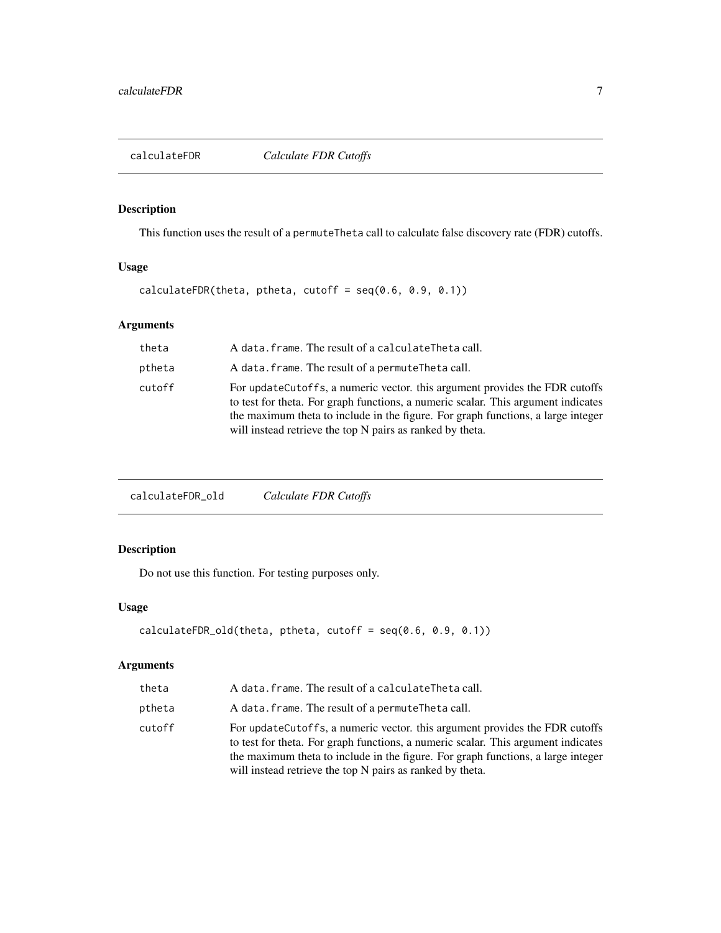<span id="page-6-0"></span>

This function uses the result of a permuteTheta call to calculate false discovery rate (FDR) cutoffs.

#### Usage

calculateFDR(theta, ptheta, cutoff =  $seq(0.6, 0.9, 0.1))$ 

# Arguments

| theta  | A data. frame. The result of a calculateTheta call.                                                                                                                                                                                                                                                                |
|--------|--------------------------------------------------------------------------------------------------------------------------------------------------------------------------------------------------------------------------------------------------------------------------------------------------------------------|
| ptheta | A data. frame. The result of a permuteTheta call.                                                                                                                                                                                                                                                                  |
| cutoff | For update Cutoffs, a numeric vector, this argument provides the FDR cutoffs<br>to test for theta. For graph functions, a numeric scalar. This argument indicates<br>the maximum theta to include in the figure. For graph functions, a large integer<br>will instead retrieve the top N pairs as ranked by theta. |

calculateFDR\_old *Calculate FDR Cutoffs*

# Description

Do not use this function. For testing purposes only.

# Usage

```
calculateFDR_old(theta, ptheta, cutoff = seq(0.6, 0.9, 0.1))
```
# Arguments

| theta  | A data. frame. The result of a calculateTheta call.                                                                                                                                                                                                                                                                |
|--------|--------------------------------------------------------------------------------------------------------------------------------------------------------------------------------------------------------------------------------------------------------------------------------------------------------------------|
| ptheta | A data. frame. The result of a permute Theta call.                                                                                                                                                                                                                                                                 |
| cutoff | For update Cutoffs, a numeric vector. this argument provides the FDR cutoffs<br>to test for theta. For graph functions, a numeric scalar. This argument indicates<br>the maximum theta to include in the figure. For graph functions, a large integer<br>will instead retrieve the top N pairs as ranked by theta. |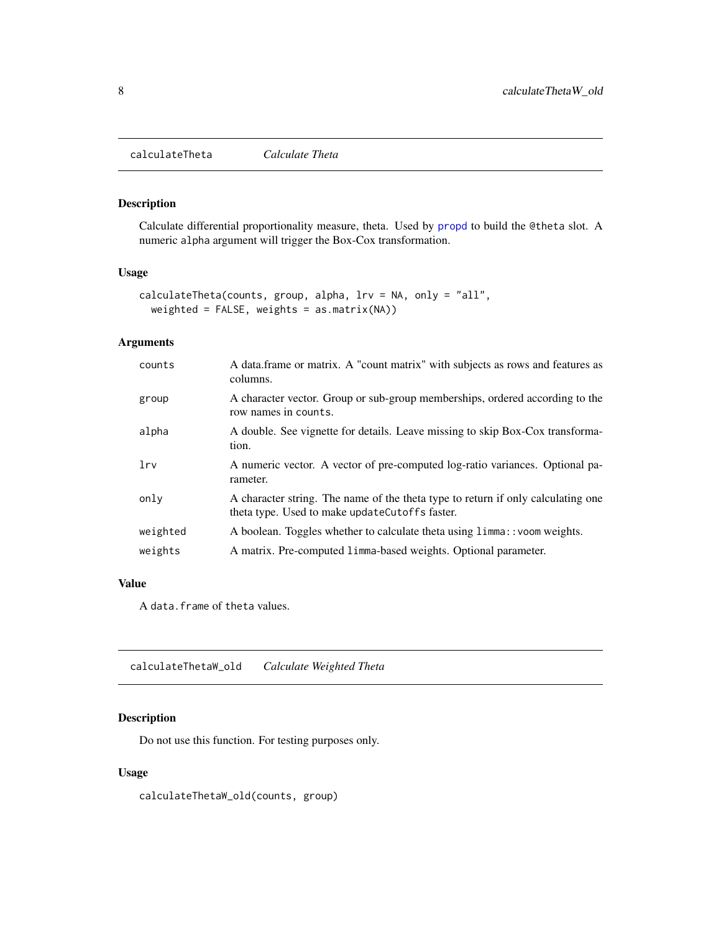<span id="page-7-0"></span>calculateTheta *Calculate Theta*

# Description

Calculate differential proportionality measure, theta. Used by [propd](#page-21-1) to build the @theta slot. A numeric alpha argument will trigger the Box-Cox transformation.

#### Usage

```
calculateTheta(counts, group, alpha, lrv = NA, only = "all",
 weighted = FALSE, weights = as.matrix(NA))
```
# Arguments

| counts   | A data frame or matrix. A "count matrix" with subjects as rows and features as<br>columns.                                         |
|----------|------------------------------------------------------------------------------------------------------------------------------------|
| group    | A character vector. Group or sub-group memberships, ordered according to the<br>row names in counts.                               |
| alpha    | A double. See vignette for details. Leave missing to skip Box-Cox transforma-<br>tion.                                             |
| lrv      | A numeric vector. A vector of pre-computed log-ratio variances. Optional pa-<br>rameter.                                           |
| only     | A character string. The name of the theta type to return if only calculating one<br>theta type. Used to make updateCutoffs faster. |
| weighted | A boolean. Toggles whether to calculate theta using limma:: voom weights.                                                          |
| weights  | A matrix. Pre-computed 1 imma-based weights. Optional parameter.                                                                   |

# Value

A data.frame of theta values.

calculateThetaW\_old *Calculate Weighted Theta*

# Description

Do not use this function. For testing purposes only.

#### Usage

calculateThetaW\_old(counts, group)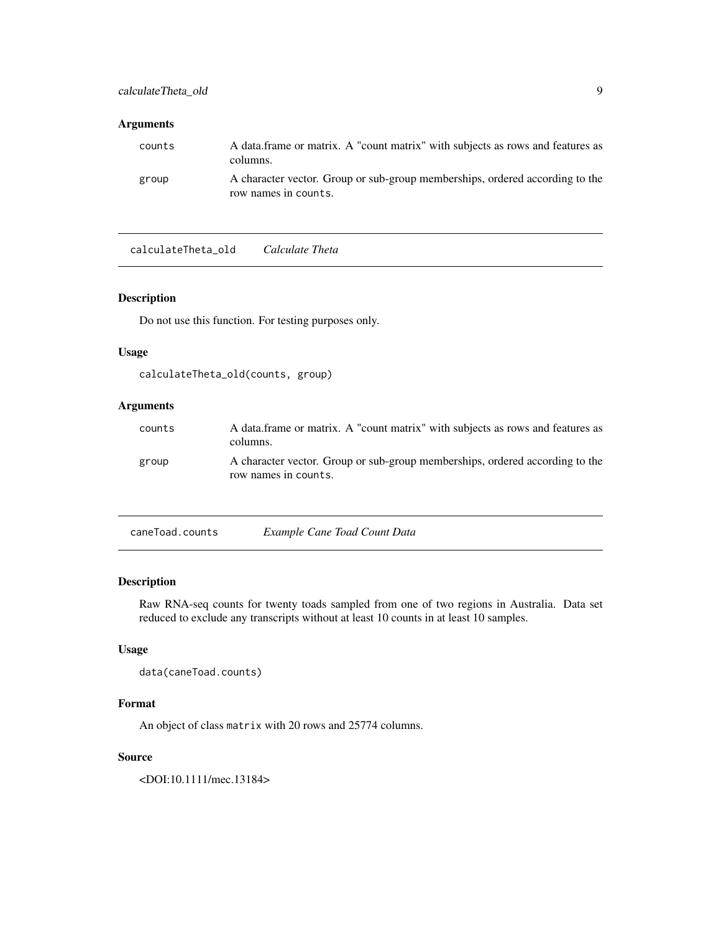#### <span id="page-8-0"></span>Arguments

| counts | A data frame or matrix. A "count matrix" with subjects as rows and features as<br>columns.           |
|--------|------------------------------------------------------------------------------------------------------|
| group  | A character vector. Group or sub-group memberships, ordered according to the<br>row names in counts. |

calculateTheta\_old *Calculate Theta*

#### Description

Do not use this function. For testing purposes only.

#### Usage

```
calculateTheta_old(counts, group)
```
# Arguments

| counts | A data frame or matrix. A "count matrix" with subjects as rows and features as<br>columns.           |
|--------|------------------------------------------------------------------------------------------------------|
| group  | A character vector. Group or sub-group memberships, ordered according to the<br>row names in counts. |

| caneToad.counts | Example Cane Toad Count Data |  |  |
|-----------------|------------------------------|--|--|
|                 |                              |  |  |

# Description

Raw RNA-seq counts for twenty toads sampled from one of two regions in Australia. Data set reduced to exclude any transcripts without at least 10 counts in at least 10 samples.

# Usage

```
data(caneToad.counts)
```
# Format

An object of class matrix with 20 rows and 25774 columns.

#### Source

<DOI:10.1111/mec.13184>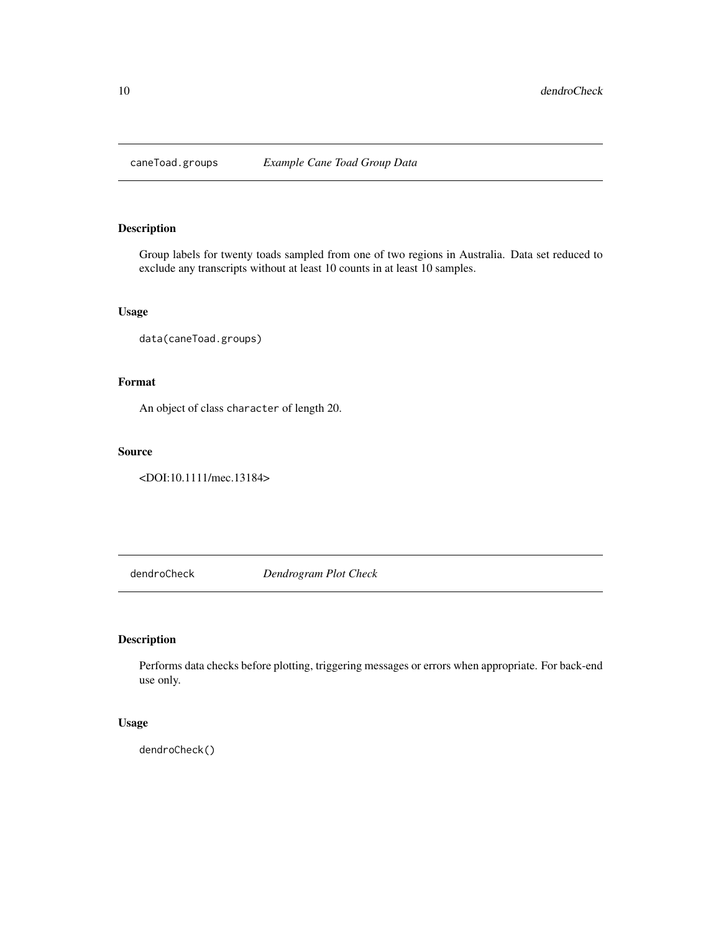<span id="page-9-0"></span>

Group labels for twenty toads sampled from one of two regions in Australia. Data set reduced to exclude any transcripts without at least 10 counts in at least 10 samples.

#### Usage

```
data(caneToad.groups)
```
# Format

An object of class character of length 20.

#### Source

<DOI:10.1111/mec.13184>

dendroCheck *Dendrogram Plot Check*

# Description

Performs data checks before plotting, triggering messages or errors when appropriate. For back-end use only.

#### Usage

dendroCheck()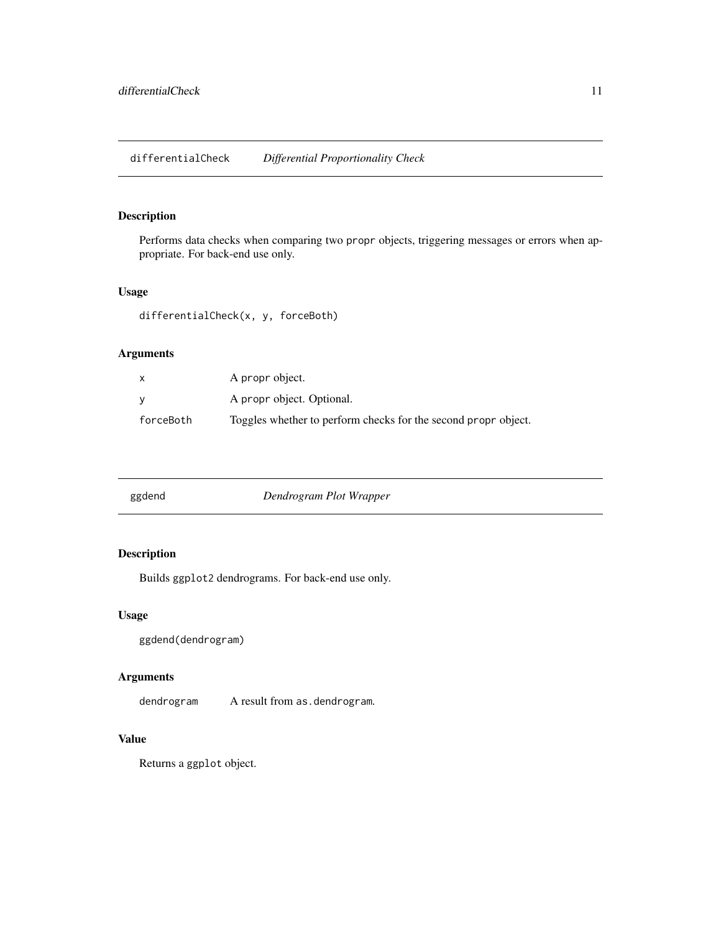<span id="page-10-0"></span>Performs data checks when comparing two propr objects, triggering messages or errors when appropriate. For back-end use only.

# Usage

differentialCheck(x, y, forceBoth)

# Arguments

| X         | A propr object.                                                |
|-----------|----------------------------------------------------------------|
| v         | A propr object. Optional.                                      |
| forceBoth | Toggles whether to perform checks for the second propr object. |

| ggdend | Dendrogram Plot Wrapper |  |
|--------|-------------------------|--|
|--------|-------------------------|--|

# Description

Builds ggplot2 dendrograms. For back-end use only.

# Usage

ggdend(dendrogram)

# Arguments

dendrogram A result from as.dendrogram.

# Value

Returns a ggplot object.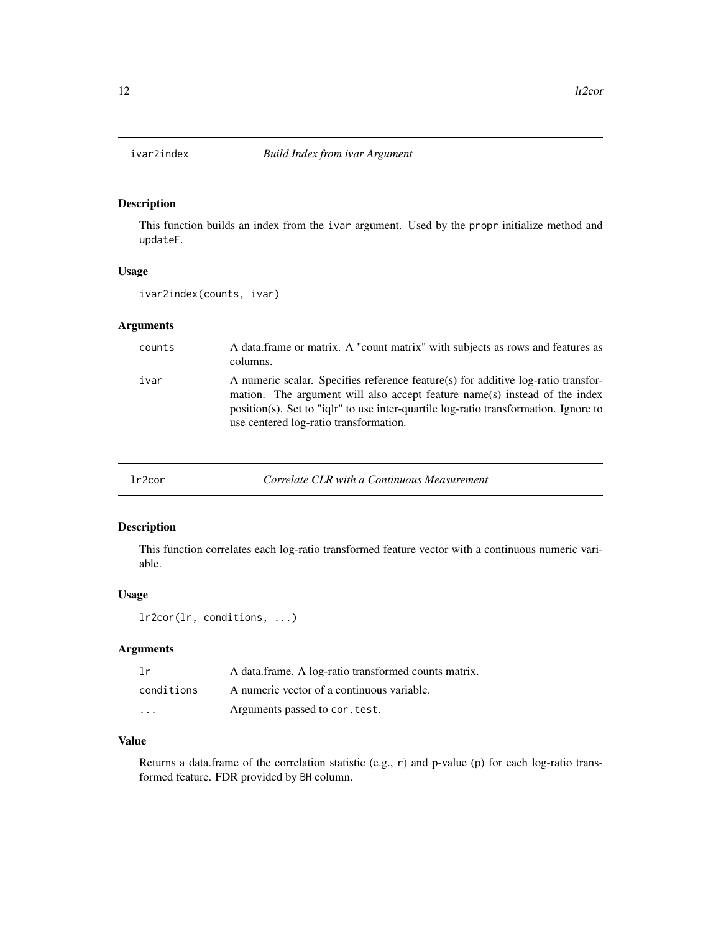<span id="page-11-0"></span>

This function builds an index from the ivar argument. Used by the propr initialize method and updateF.

# Usage

ivar2index(counts, ivar)

#### Arguments

| counts | A data frame or matrix. A "count matrix" with subjects as rows and features as<br>columns.                                                                                                                                                                                                        |
|--------|---------------------------------------------------------------------------------------------------------------------------------------------------------------------------------------------------------------------------------------------------------------------------------------------------|
| ivar   | A numeric scalar. Specifies reference feature(s) for additive log-ratio transfor-<br>mation. The argument will also accept feature name(s) instead of the index<br>position(s). Set to "ight" to use inter-quartile log-ratio transformation. Ignore to<br>use centered log-ratio transformation. |

<span id="page-11-1"></span>lr2cor *Correlate CLR with a Continuous Measurement*

# Description

This function correlates each log-ratio transformed feature vector with a continuous numeric variable.

# Usage

```
lr2cor(lr, conditions, ...)
```
# Arguments

| 1r         | A data.frame. A log-ratio transformed counts matrix. |
|------------|------------------------------------------------------|
| conditions | A numeric vector of a continuous variable.           |
| $\cdots$   | Arguments passed to cor. test.                       |

#### Value

Returns a data.frame of the correlation statistic (e.g., r) and p-value (p) for each log-ratio transformed feature. FDR provided by BH column.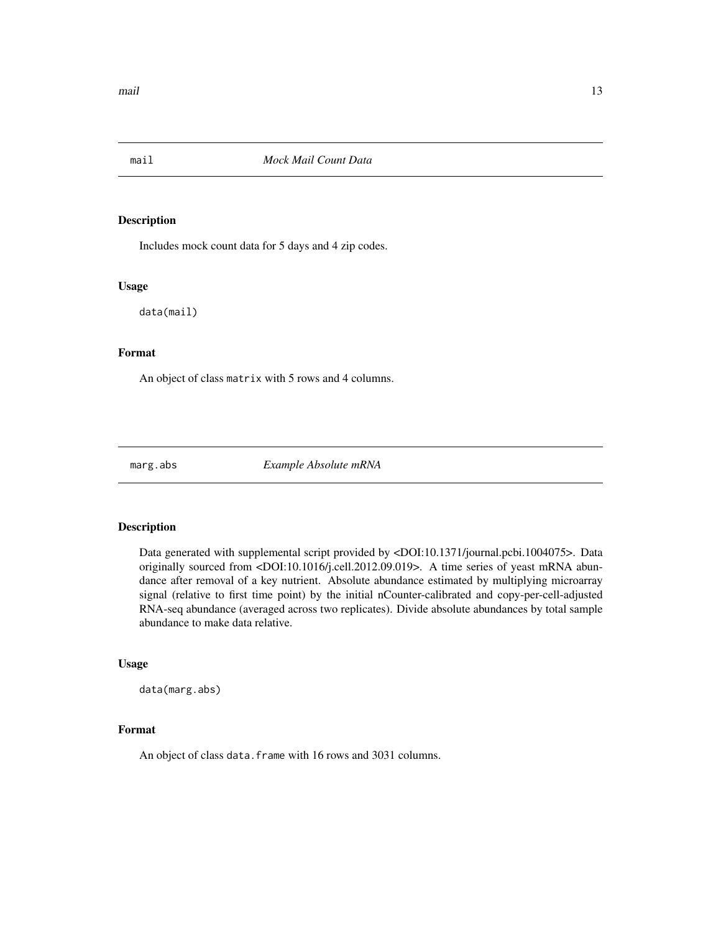<span id="page-12-0"></span>

Includes mock count data for 5 days and 4 zip codes.

#### Usage

data(mail)

#### Format

An object of class matrix with 5 rows and 4 columns.

marg.abs *Example Absolute mRNA*

#### Description

Data generated with supplemental script provided by <DOI:10.1371/journal.pcbi.1004075>. Data originally sourced from <DOI:10.1016/j.cell.2012.09.019>. A time series of yeast mRNA abundance after removal of a key nutrient. Absolute abundance estimated by multiplying microarray signal (relative to first time point) by the initial nCounter-calibrated and copy-per-cell-adjusted RNA-seq abundance (averaged across two replicates). Divide absolute abundances by total sample abundance to make data relative.

#### Usage

data(marg.abs)

#### Format

An object of class data. frame with 16 rows and 3031 columns.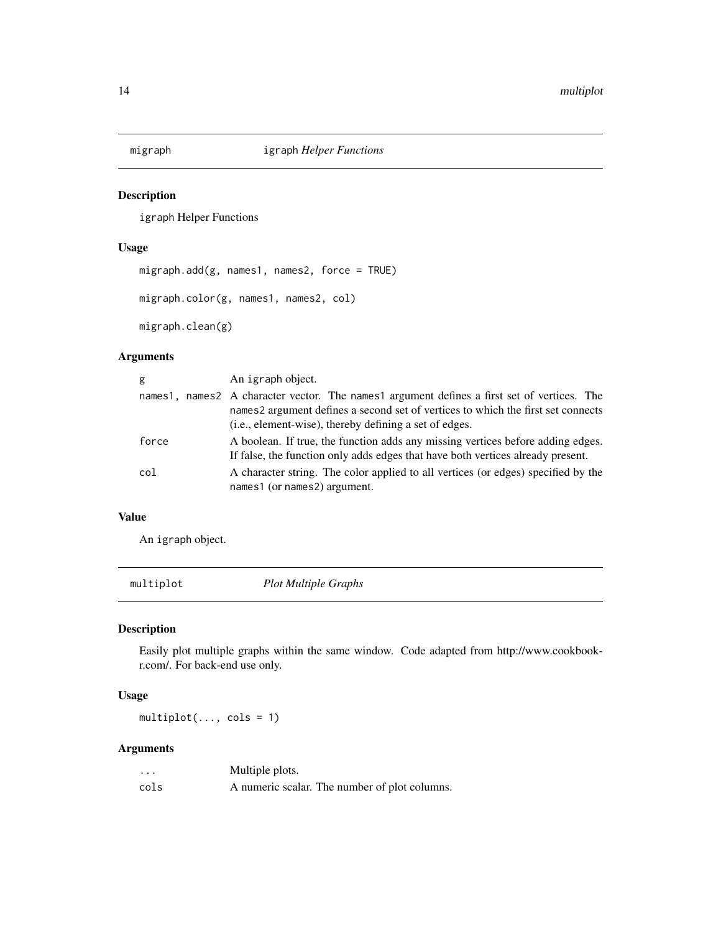<span id="page-13-0"></span>

igraph Helper Functions

#### Usage

```
migraph.add(g, names1, names2, force = TRUE)
migraph.color(g, names1, names2, col)
migraph.clean(g)
```
# Arguments

| g       | An igraph object.                                                                                                                                                                                                                   |
|---------|-------------------------------------------------------------------------------------------------------------------------------------------------------------------------------------------------------------------------------------|
| names1. | names 2 A character vector. The names 1 argument defines a first set of vertices. The<br>names2 argument defines a second set of vertices to which the first set connects<br>(i.e., element-wise), thereby defining a set of edges. |
| force   | A boolean. If true, the function adds any missing vertices before adding edges.<br>If false, the function only adds edges that have both vertices already present.                                                                  |
| col     | A character string. The color applied to all vertices (or edges) specified by the<br>names1 (or names2) argument.                                                                                                                   |

#### Value

An igraph object.

multiplot *Plot Multiple Graphs*

# Description

Easily plot multiple graphs within the same window. Code adapted from http://www.cookbookr.com/. For back-end use only.

#### Usage

multiplot(..., cols = 1)

# Arguments

| $\cdot\cdot\cdot$ | Multiple plots.                               |
|-------------------|-----------------------------------------------|
| cols              | A numeric scalar. The number of plot columns. |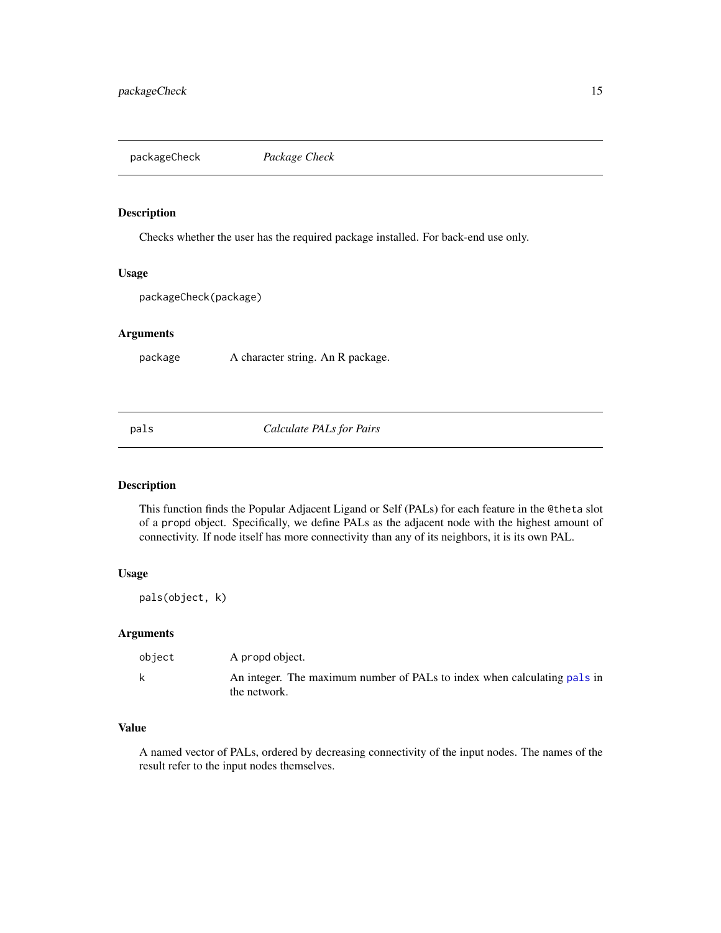<span id="page-14-0"></span>packageCheck *Package Check*

# Description

Checks whether the user has the required package installed. For back-end use only.

#### Usage

packageCheck(package)

# Arguments

package A character string. An R package.

<span id="page-14-1"></span>pals *Calculate PALs for Pairs*

# Description

This function finds the Popular Adjacent Ligand or Self (PALs) for each feature in the @theta slot of a propd object. Specifically, we define PALs as the adjacent node with the highest amount of connectivity. If node itself has more connectivity than any of its neighbors, it is its own PAL.

#### Usage

pals(object, k)

#### Arguments

| object | A propd object.                                                                          |
|--------|------------------------------------------------------------------------------------------|
|        | An integer. The maximum number of PALs to index when calculating pals in<br>the network. |

# Value

A named vector of PALs, ordered by decreasing connectivity of the input nodes. The names of the result refer to the input nodes themselves.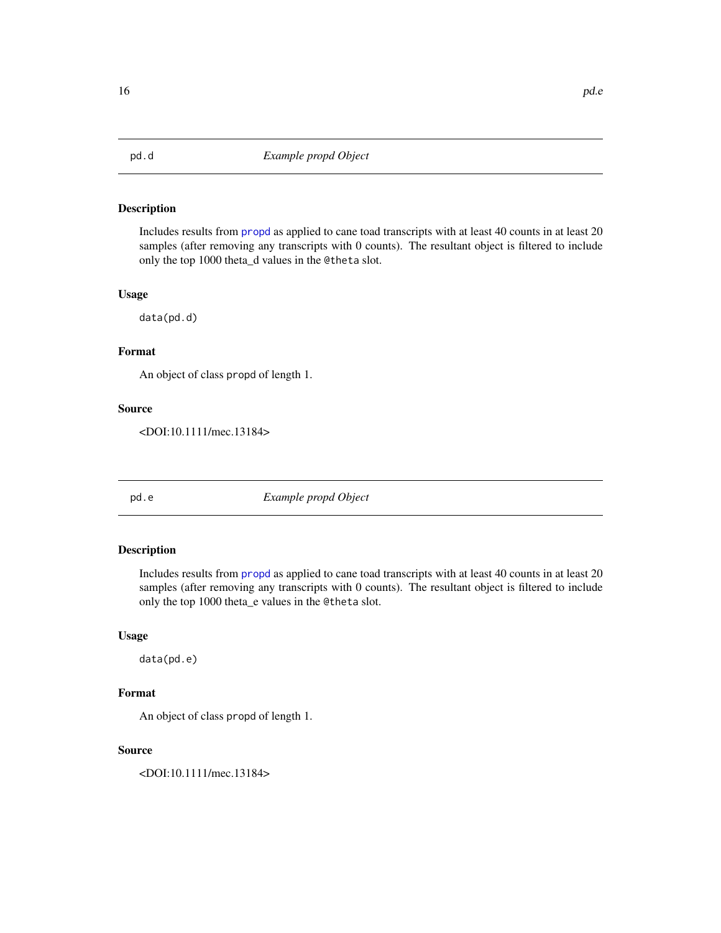<span id="page-15-0"></span>

Includes results from [propd](#page-21-1) as applied to cane toad transcripts with at least 40 counts in at least 20 samples (after removing any transcripts with 0 counts). The resultant object is filtered to include only the top 1000 theta\_d values in the @theta slot.

#### Usage

data(pd.d)

#### Format

An object of class propd of length 1.

#### Source

<DOI:10.1111/mec.13184>

pd.e *Example propd Object*

# Description

Includes results from [propd](#page-21-1) as applied to cane toad transcripts with at least 40 counts in at least 20 samples (after removing any transcripts with 0 counts). The resultant object is filtered to include only the top 1000 theta\_e values in the @theta slot.

# Usage

data(pd.e)

#### Format

An object of class propd of length 1.

#### Source

<DOI:10.1111/mec.13184>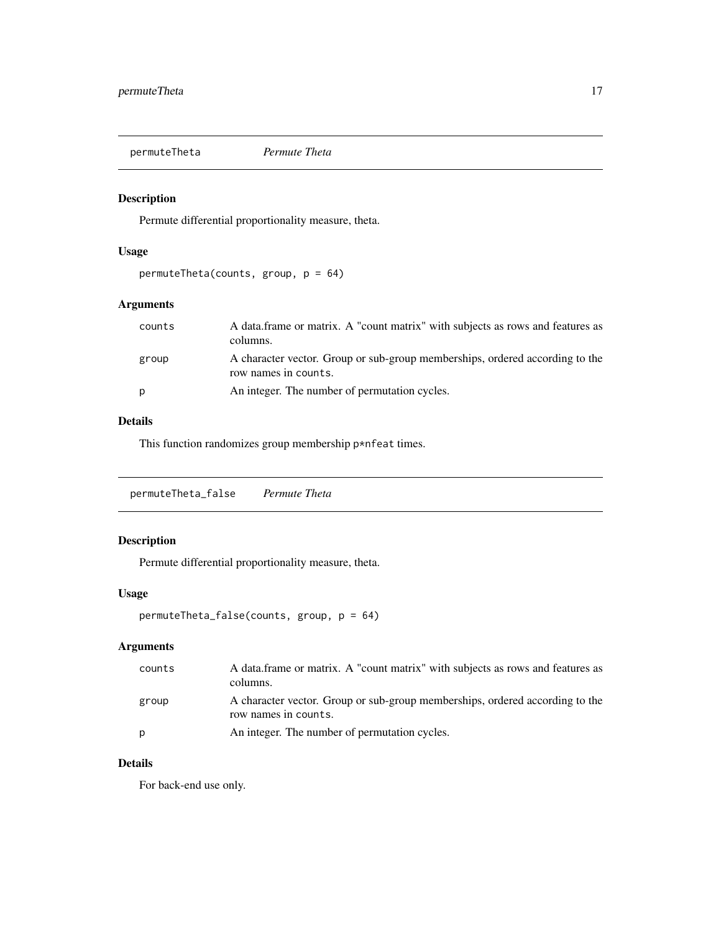<span id="page-16-0"></span>permuteTheta *Permute Theta*

# Description

Permute differential proportionality measure, theta.

# Usage

permuteTheta(counts, group, p = 64)

# Arguments

| counts | A data frame or matrix. A "count matrix" with subjects as rows and features as<br>columns.           |
|--------|------------------------------------------------------------------------------------------------------|
| group  | A character vector. Group or sub-group memberships, ordered according to the<br>row names in counts. |
| p      | An integer. The number of permutation cycles.                                                        |

# Details

This function randomizes group membership p\*nfeat times.

permuteTheta\_false *Permute Theta*

# Description

Permute differential proportionality measure, theta.

#### Usage

```
permuteTheta_false(counts, group, p = 64)
```
# Arguments

| counts | A data frame or matrix. A "count matrix" with subjects as rows and features as<br>columns.           |
|--------|------------------------------------------------------------------------------------------------------|
| group  | A character vector. Group or sub-group memberships, ordered according to the<br>row names in counts. |
| D      | An integer. The number of permutation cycles.                                                        |

# Details

For back-end use only.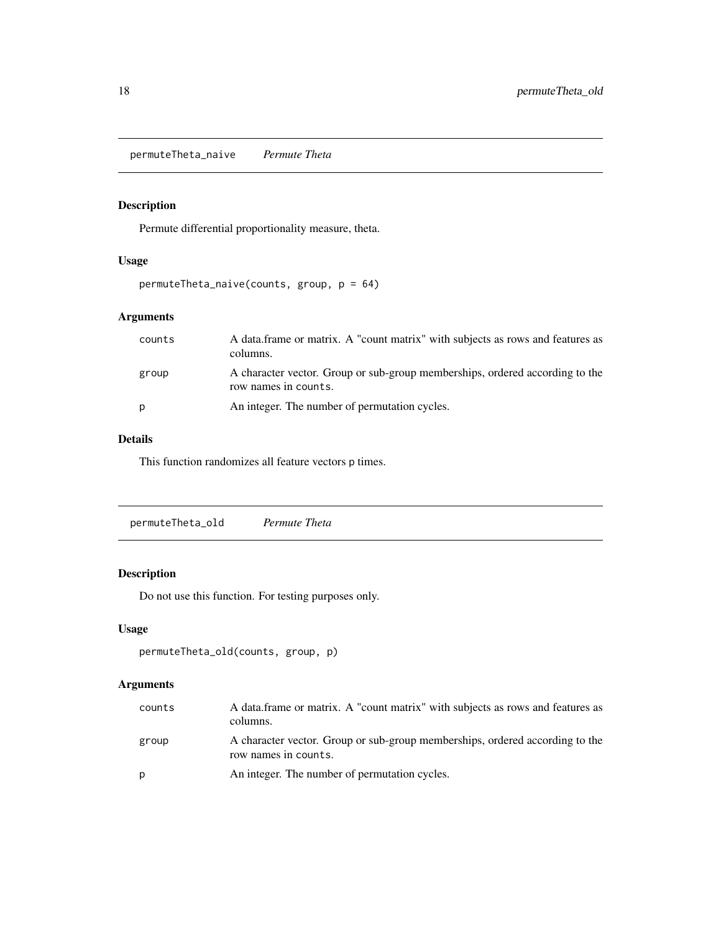<span id="page-17-0"></span>permuteTheta\_naive *Permute Theta*

# Description

Permute differential proportionality measure, theta.

# Usage

```
permuteTheta_naive(counts, group, p = 64)
```
# Arguments

| counts | A data frame or matrix. A "count matrix" with subjects as rows and features as<br>columns.           |
|--------|------------------------------------------------------------------------------------------------------|
| group  | A character vector. Group or sub-group memberships, ordered according to the<br>row names in counts. |
| p      | An integer. The number of permutation cycles.                                                        |

#### Details

This function randomizes all feature vectors p times.

| permuteTheta_old | Permute Theta |  |  |
|------------------|---------------|--|--|
|------------------|---------------|--|--|

# Description

Do not use this function. For testing purposes only.

# Usage

```
permuteTheta_old(counts, group, p)
```
# Arguments

| counts | A data frame or matrix. A "count matrix" with subjects as rows and features as<br>columns.           |
|--------|------------------------------------------------------------------------------------------------------|
| group  | A character vector. Group or sub-group memberships, ordered according to the<br>row names in counts. |
| р      | An integer. The number of permutation cycles.                                                        |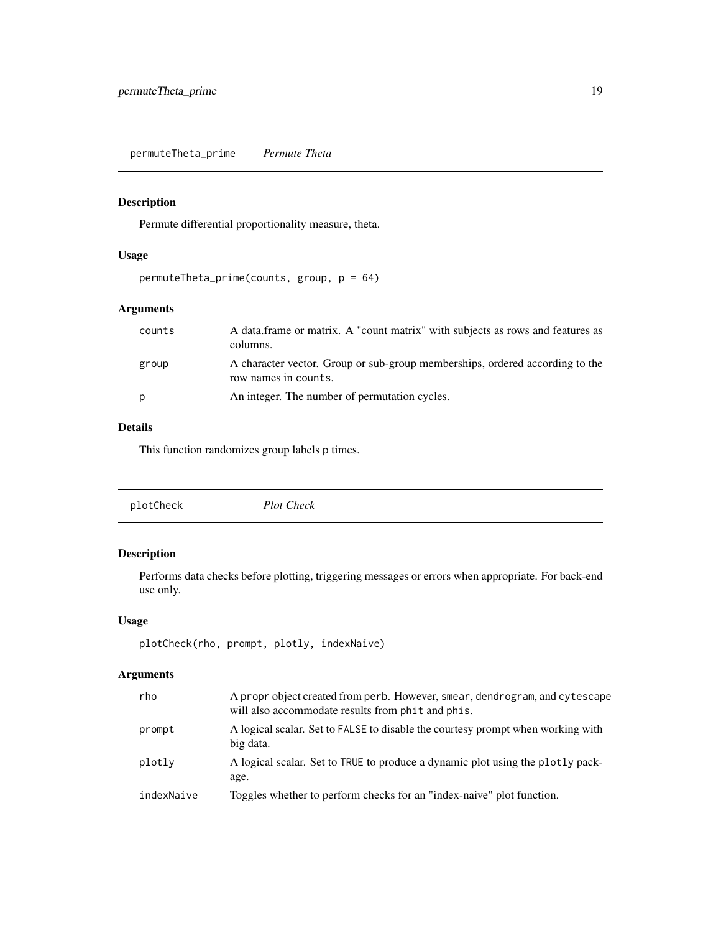<span id="page-18-0"></span>permuteTheta\_prime *Permute Theta*

# Description

Permute differential proportionality measure, theta.

# Usage

```
permuteTheta_prime(counts, group, p = 64)
```
# Arguments

| counts | A data frame or matrix. A "count matrix" with subjects as rows and features as<br>columns.           |
|--------|------------------------------------------------------------------------------------------------------|
| group  | A character vector. Group or sub-group memberships, ordered according to the<br>row names in counts. |
| p      | An integer. The number of permutation cycles.                                                        |

# Details

This function randomizes group labels p times.

|  | plotCheck | <b>Plot Check</b> |  |  |
|--|-----------|-------------------|--|--|
|--|-----------|-------------------|--|--|

# Description

Performs data checks before plotting, triggering messages or errors when appropriate. For back-end use only.

#### Usage

```
plotCheck(rho, prompt, plotly, indexNaive)
```
# Arguments

| rho        | A propr object created from perb. However, smear, dendrogram, and cytescape<br>will also accommodate results from phit and phis. |
|------------|----------------------------------------------------------------------------------------------------------------------------------|
| prompt     | A logical scalar. Set to FALSE to disable the courtesy prompt when working with<br>big data.                                     |
| plotly     | A logical scalar. Set to TRUE to produce a dynamic plot using the plotly pack-<br>age.                                           |
| indexNaive | Toggles whether to perform checks for an "index-naive" plot function.                                                            |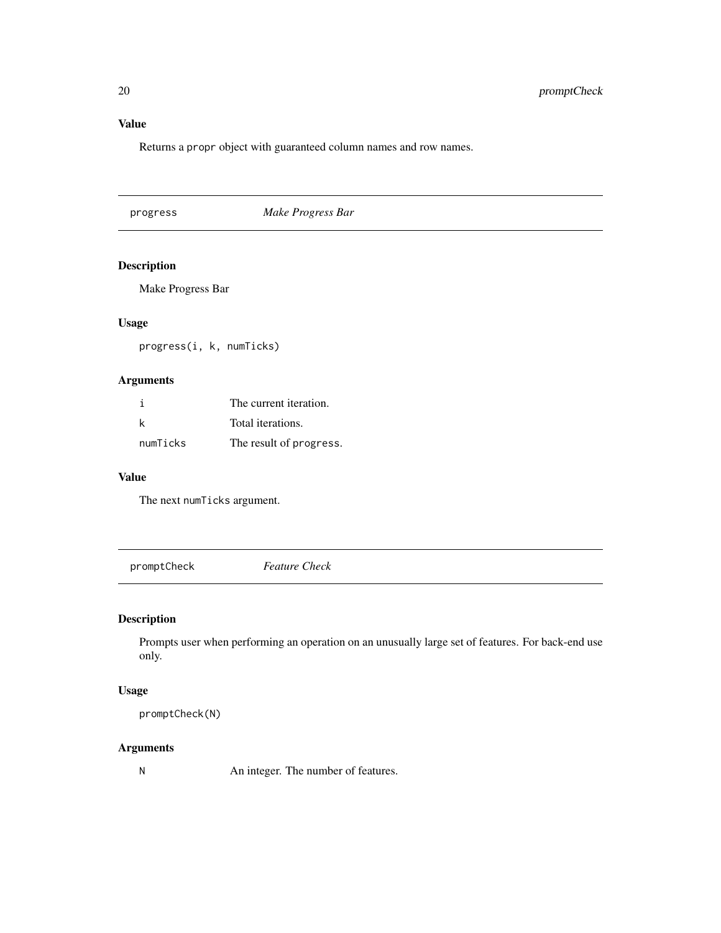<span id="page-19-0"></span>Returns a propr object with guaranteed column names and row names.

progress *Make Progress Bar*

# Description

Make Progress Bar

# Usage

progress(i, k, numTicks)

# Arguments

|          | The current iteration.  |
|----------|-------------------------|
| k        | Total iterations.       |
| numTicks | The result of progress. |

#### Value

The next numTicks argument.

promptCheck *Feature Check*

# Description

Prompts user when performing an operation on an unusually large set of features. For back-end use only.

#### Usage

promptCheck(N)

#### Arguments

N An integer. The number of features.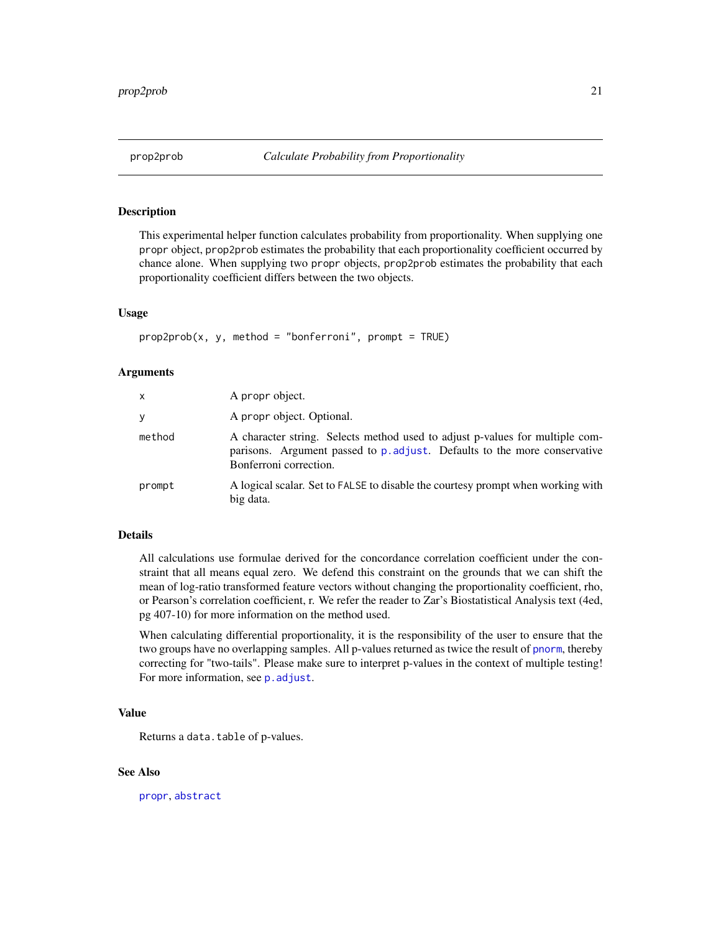<span id="page-20-1"></span><span id="page-20-0"></span>This experimental helper function calculates probability from proportionality. When supplying one propr object, prop2prob estimates the probability that each proportionality coefficient occurred by chance alone. When supplying two propr objects, prop2prob estimates the probability that each proportionality coefficient differs between the two objects.

#### Usage

 $prop2prob(x, y, method = "bonferroni", prompt = TRUE)$ 

#### Arguments

| x      | A propr object.                                                                                                                                                                     |
|--------|-------------------------------------------------------------------------------------------------------------------------------------------------------------------------------------|
| У      | A propr object. Optional.                                                                                                                                                           |
| method | A character string. Selects method used to adjust p-values for multiple com-<br>parisons. Argument passed to p. adjust. Defaults to the more conservative<br>Bonferroni correction. |
| prompt | A logical scalar. Set to FALSE to disable the courtesy prompt when working with<br>big data.                                                                                        |

#### Details

All calculations use formulae derived for the concordance correlation coefficient under the constraint that all means equal zero. We defend this constraint on the grounds that we can shift the mean of log-ratio transformed feature vectors without changing the proportionality coefficient, rho, or Pearson's correlation coefficient, r. We refer the reader to Zar's Biostatistical Analysis text (4ed, pg 407-10) for more information on the method used.

When calculating differential proportionality, it is the responsibility of the user to ensure that the two groups have no overlapping samples. All p-values returned as twice the result of [pnorm](#page-0-0), thereby correcting for "two-tails". Please make sure to interpret p-values in the context of multiple testing! For more information, see p. adjust.

#### Value

Returns a data.table of p-values.

#### See Also

[propr](#page-26-1), [abstract](#page-2-1)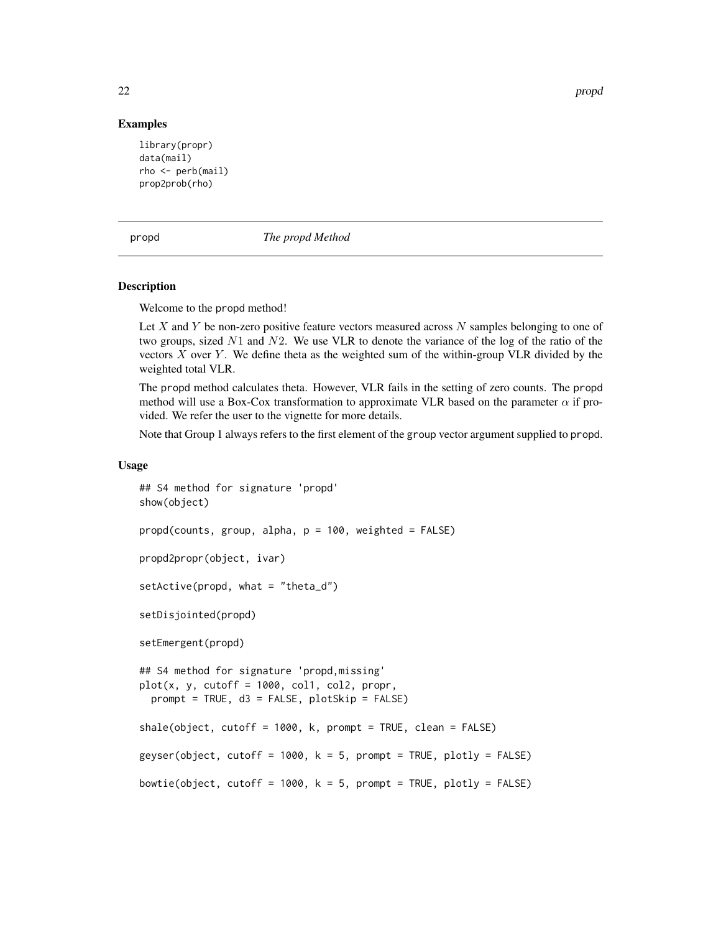22 propder to the contract of the contract of the contract of the contract of the contract of the contract of the contract of the contract of the contract of the contract of the contract of the contract of the contract of

#### Examples

```
library(propr)
data(mail)
rho <- perb(mail)
prop2prob(rho)
```
<span id="page-21-1"></span>propd *The propd Method*

#### Description

Welcome to the propd method!

Let X and Y be non-zero positive feature vectors measured across  $N$  samples belonging to one of two groups, sized  $N1$  and  $N2$ . We use VLR to denote the variance of the log of the ratio of the vectors  $X$  over  $Y$ . We define theta as the weighted sum of the within-group VLR divided by the weighted total VLR.

The propd method calculates theta. However, VLR fails in the setting of zero counts. The propd method will use a Box-Cox transformation to approximate VLR based on the parameter  $\alpha$  if provided. We refer the user to the vignette for more details.

Note that Group 1 always refers to the first element of the group vector argument supplied to propd.

#### Usage

```
## S4 method for signature 'propd'
show(object)
propd(counts, group, alpha, p = 100, weighted = FALSE)
propd2propr(object, ivar)
setActive(propd, what = "theta_d")
setDisjointed(propd)
setEmergent(propd)
## S4 method for signature 'propd,missing'
plot(x, y, cutoff = 1000, col1, col2, propr,prompt = TRUE, d3 = FALSE, plotSkip = FALSE)
shale(object, cutoff = 1000, k, prompt = TRUE, clean = FALSE)
geyser(object, cutoff = 1000, k = 5, prompt = TRUE, plotly = FALSE)
bowtie(object, cutoff = 1000, k = 5, prompt = TRUE, plotly = FALSE)
```
<span id="page-21-0"></span>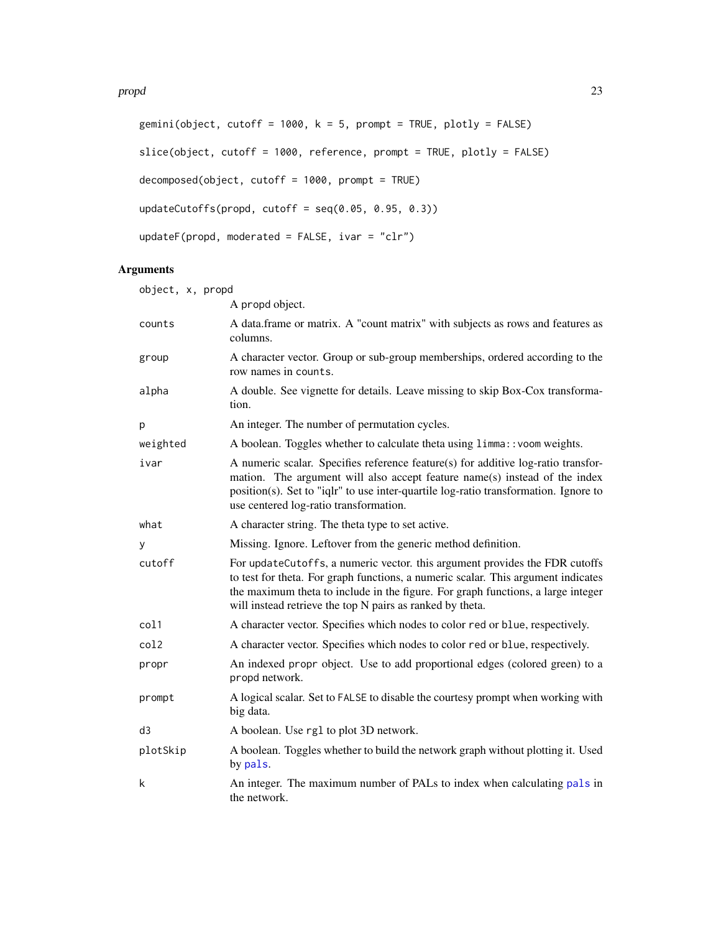```
gemini(object, cutoff = 1000, k = 5, prompt = TRUE, plotly = FALSE)
slice(object, cutoff = 1000, reference, prompt = TRUE, plotly = FALSE)
decomposed(object, cutoff = 1000, prompt = TRUE)
updateCutoffs(propd, cutoff = seq(0.05, 0.95, 0.3))
updateF(propd, moderated = FALSE, ivar = "clr")
```
# Arguments

| object, x, propd |                                                                                                                                                                                                                                                                                                                   |
|------------------|-------------------------------------------------------------------------------------------------------------------------------------------------------------------------------------------------------------------------------------------------------------------------------------------------------------------|
|                  | A propd object.                                                                                                                                                                                                                                                                                                   |
| counts           | A data.frame or matrix. A "count matrix" with subjects as rows and features as<br>columns.                                                                                                                                                                                                                        |
| group            | A character vector. Group or sub-group memberships, ordered according to the<br>row names in counts.                                                                                                                                                                                                              |
| alpha            | A double. See vignette for details. Leave missing to skip Box-Cox transforma-<br>tion.                                                                                                                                                                                                                            |
| р                | An integer. The number of permutation cycles.                                                                                                                                                                                                                                                                     |
| weighted         | A boolean. Toggles whether to calculate theta using limma:: voom weights.                                                                                                                                                                                                                                         |
| ivar             | A numeric scalar. Specifies reference feature(s) for additive log-ratio transfor-<br>mation. The argument will also accept feature name(s) instead of the index<br>position(s). Set to "iqlr" to use inter-quartile log-ratio transformation. Ignore to<br>use centered log-ratio transformation.                 |
| what             | A character string. The theta type to set active.                                                                                                                                                                                                                                                                 |
| У                | Missing. Ignore. Leftover from the generic method definition.                                                                                                                                                                                                                                                     |
| cutoff           | For updateCutoffs, a numeric vector. this argument provides the FDR cutoffs<br>to test for theta. For graph functions, a numeric scalar. This argument indicates<br>the maximum theta to include in the figure. For graph functions, a large integer<br>will instead retrieve the top N pairs as ranked by theta. |
| col1             | A character vector. Specifies which nodes to color red or blue, respectively.                                                                                                                                                                                                                                     |
| col2             | A character vector. Specifies which nodes to color red or blue, respectively.                                                                                                                                                                                                                                     |
| propr            | An indexed propr object. Use to add proportional edges (colored green) to a<br>propd network.                                                                                                                                                                                                                     |
| prompt           | A logical scalar. Set to FALSE to disable the courtesy prompt when working with<br>big data.                                                                                                                                                                                                                      |
| d3               | A boolean. Use rg1 to plot 3D network.                                                                                                                                                                                                                                                                            |
| plotSkip         | A boolean. Toggles whether to build the network graph without plotting it. Used<br>by pals.                                                                                                                                                                                                                       |
| k                | An integer. The maximum number of PALs to index when calculating pals in<br>the network.                                                                                                                                                                                                                          |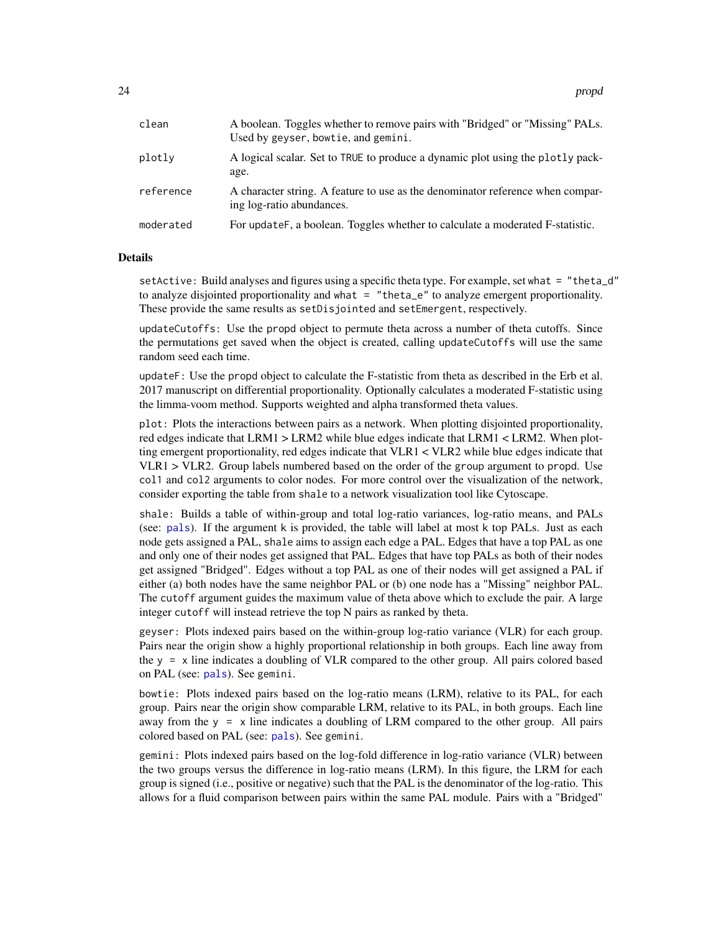| clean     | A boolean. Toggles whether to remove pairs with "Bridged" or "Missing" PALs.<br>Used by geyser, bowtie, and gemini. |
|-----------|---------------------------------------------------------------------------------------------------------------------|
| plotly    | A logical scalar. Set to TRUE to produce a dynamic plot using the plotly pack-<br>age.                              |
| reference | A character string. A feature to use as the denominator reference when compar-<br>ing log-ratio abundances.         |
| moderated | For update F, a boolean. Toggles whether to calculate a moderated F-statistic.                                      |

#### Details

setActive: Build analyses and figures using a specific theta type. For example, set what = "theta\_d" to analyze disjointed proportionality and what = "theta\_e" to analyze emergent proportionality. These provide the same results as setDisjointed and setEmergent, respectively.

updateCutoffs: Use the propd object to permute theta across a number of theta cutoffs. Since the permutations get saved when the object is created, calling updateCutoffs will use the same random seed each time.

updateF: Use the propd object to calculate the F-statistic from theta as described in the Erb et al. 2017 manuscript on differential proportionality. Optionally calculates a moderated F-statistic using the limma-voom method. Supports weighted and alpha transformed theta values.

plot: Plots the interactions between pairs as a network. When plotting disjointed proportionality, red edges indicate that LRM1 > LRM2 while blue edges indicate that LRM1 < LRM2. When plotting emergent proportionality, red edges indicate that VLR1 < VLR2 while blue edges indicate that VLR1 > VLR2. Group labels numbered based on the order of the group argument to propd. Use col1 and col2 arguments to color nodes. For more control over the visualization of the network, consider exporting the table from shale to a network visualization tool like Cytoscape.

shale: Builds a table of within-group and total log-ratio variances, log-ratio means, and PALs (see: [pals](#page-14-1)). If the argument k is provided, the table will label at most k top PALs. Just as each node gets assigned a PAL, shale aims to assign each edge a PAL. Edges that have a top PAL as one and only one of their nodes get assigned that PAL. Edges that have top PALs as both of their nodes get assigned "Bridged". Edges without a top PAL as one of their nodes will get assigned a PAL if either (a) both nodes have the same neighbor PAL or (b) one node has a "Missing" neighbor PAL. The cutoff argument guides the maximum value of theta above which to exclude the pair. A large integer cutoff will instead retrieve the top N pairs as ranked by theta.

geyser: Plots indexed pairs based on the within-group log-ratio variance (VLR) for each group. Pairs near the origin show a highly proportional relationship in both groups. Each line away from the  $y = x$  line indicates a doubling of VLR compared to the other group. All pairs colored based on PAL (see: [pals](#page-14-1)). See gemini.

bowtie: Plots indexed pairs based on the log-ratio means (LRM), relative to its PAL, for each group. Pairs near the origin show comparable LRM, relative to its PAL, in both groups. Each line away from the  $y = x$  line indicates a doubling of LRM compared to the other group. All pairs colored based on PAL (see: [pals](#page-14-1)). See gemini.

gemini: Plots indexed pairs based on the log-fold difference in log-ratio variance (VLR) between the two groups versus the difference in log-ratio means (LRM). In this figure, the LRM for each group is signed (i.e., positive or negative) such that the PAL is the denominator of the log-ratio. This allows for a fluid comparison between pairs within the same PAL module. Pairs with a "Bridged"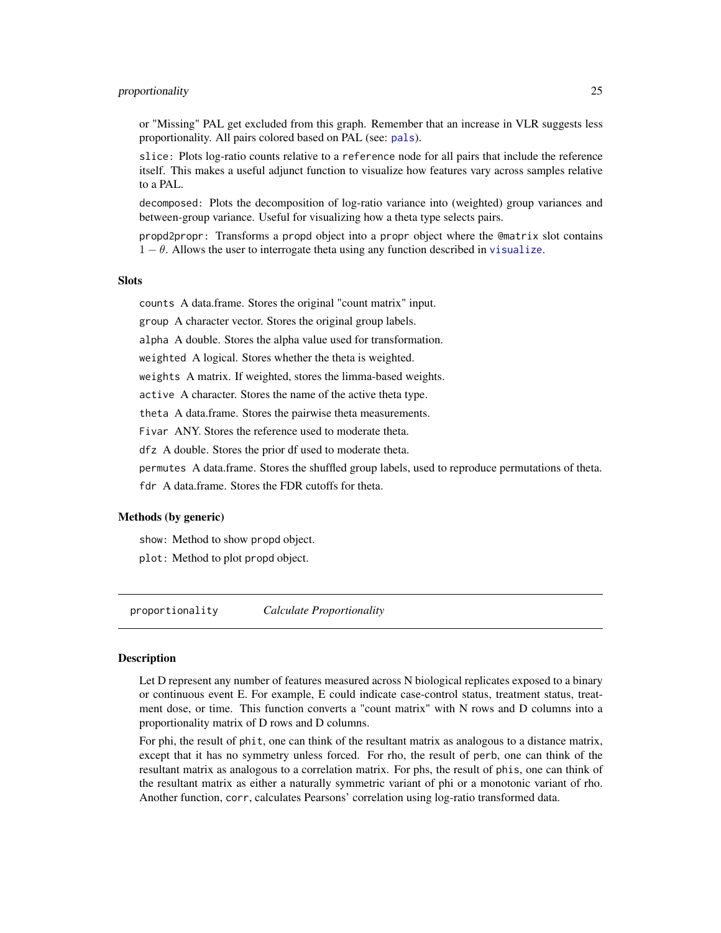#### <span id="page-24-0"></span>proportionality 25

or "Missing" PAL get excluded from this graph. Remember that an increase in VLR suggests less proportionality. All pairs colored based on PAL (see: [pals](#page-14-1)).

slice: Plots log-ratio counts relative to a reference node for all pairs that include the reference itself. This makes a useful adjunct function to visualize how features vary across samples relative to a PAL.

decomposed: Plots the decomposition of log-ratio variance into (weighted) group variances and between-group variance. Useful for visualizing how a theta type selects pairs.

propd2propr: Transforms a propd object into a propr object where the @matrix slot contains  $1 - \theta$ . Allows the user to interrogate theta using any function described in [visualize](#page-33-1).

#### **Slots**

counts A data.frame. Stores the original "count matrix" input.

group A character vector. Stores the original group labels.

alpha A double. Stores the alpha value used for transformation.

weighted A logical. Stores whether the theta is weighted.

weights A matrix. If weighted, stores the limma-based weights.

active A character. Stores the name of the active theta type.

theta A data.frame. Stores the pairwise theta measurements.

Fivar ANY. Stores the reference used to moderate theta.

dfz A double. Stores the prior df used to moderate theta.

permutes A data.frame. Stores the shuffled group labels, used to reproduce permutations of theta.

fdr A data.frame. Stores the FDR cutoffs for theta.

#### Methods (by generic)

show: Method to show propd object.

plot: Method to plot propd object.

<span id="page-24-1"></span>proportionality *Calculate Proportionality*

#### Description

Let D represent any number of features measured across N biological replicates exposed to a binary or continuous event E. For example, E could indicate case-control status, treatment status, treatment dose, or time. This function converts a "count matrix" with N rows and D columns into a proportionality matrix of D rows and D columns.

For phi, the result of phit, one can think of the resultant matrix as analogous to a distance matrix, except that it has no symmetry unless forced. For rho, the result of perb, one can think of the resultant matrix as analogous to a correlation matrix. For phs, the result of phis, one can think of the resultant matrix as either a naturally symmetric variant of phi or a monotonic variant of rho. Another function, corr, calculates Pearsons' correlation using log-ratio transformed data.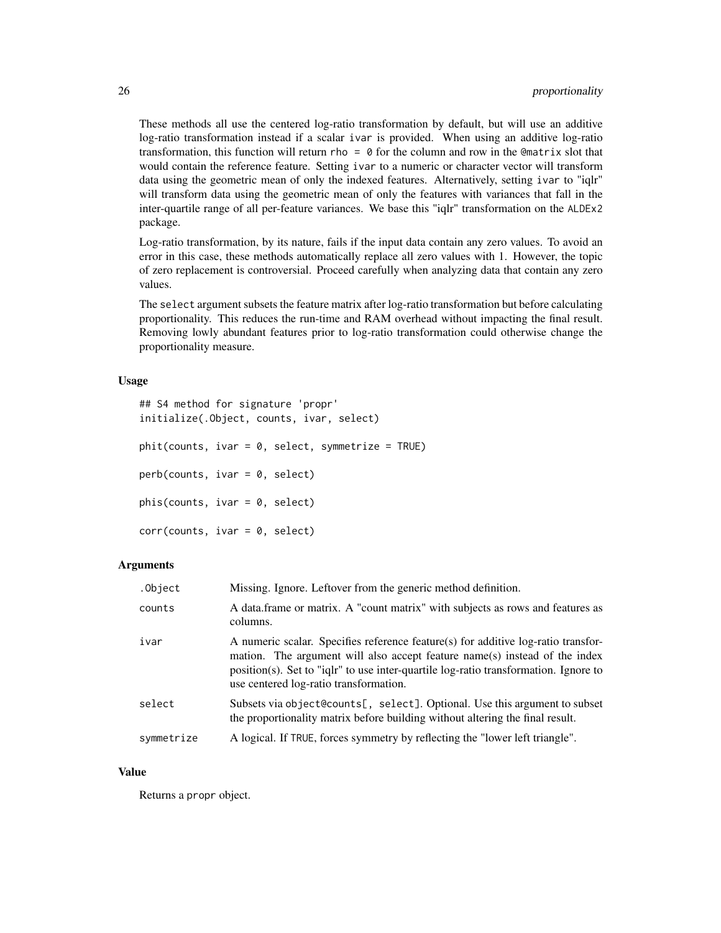These methods all use the centered log-ratio transformation by default, but will use an additive log-ratio transformation instead if a scalar ivar is provided. When using an additive log-ratio transformation, this function will return rho  $= 0$  for the column and row in the Cematrix slot that would contain the reference feature. Setting ivar to a numeric or character vector will transform data using the geometric mean of only the indexed features. Alternatively, setting ivar to "iqlr" will transform data using the geometric mean of only the features with variances that fall in the inter-quartile range of all per-feature variances. We base this "iqlr" transformation on the ALDEx2 package.

Log-ratio transformation, by its nature, fails if the input data contain any zero values. To avoid an error in this case, these methods automatically replace all zero values with 1. However, the topic of zero replacement is controversial. Proceed carefully when analyzing data that contain any zero values.

The select argument subsets the feature matrix after log-ratio transformation but before calculating proportionality. This reduces the run-time and RAM overhead without impacting the final result. Removing lowly abundant features prior to log-ratio transformation could otherwise change the proportionality measure.

#### Usage

```
## S4 method for signature 'propr'
initialize(.Object, counts, ivar, select)
phi(counts, ivar = 0, select, symmetrize = TRUE)
perb(counts, ivar = 0, select)
phis(counts, ivar = 0, select)
corr(counts, ivar = 0, select)
```
#### Arguments

| .Object    | Missing. Ignore. Leftover from the generic method definition.                                                                                                                                                                                                                                     |
|------------|---------------------------------------------------------------------------------------------------------------------------------------------------------------------------------------------------------------------------------------------------------------------------------------------------|
| counts     | A data frame or matrix. A "count matrix" with subjects as rows and features as<br>columns.                                                                                                                                                                                                        |
| ivar       | A numeric scalar. Specifies reference feature(s) for additive log-ratio transfor-<br>mation. The argument will also accept feature name(s) instead of the index<br>position(s). Set to "iglr" to use inter-quartile log-ratio transformation. Ignore to<br>use centered log-ratio transformation. |
| select     | Subsets via object @counts [, select]. Optional. Use this argument to subset<br>the proportionality matrix before building without altering the final result.                                                                                                                                     |
| symmetrize | A logical. If TRUE, forces symmetry by reflecting the "lower left triangle".                                                                                                                                                                                                                      |

#### Value

Returns a propr object.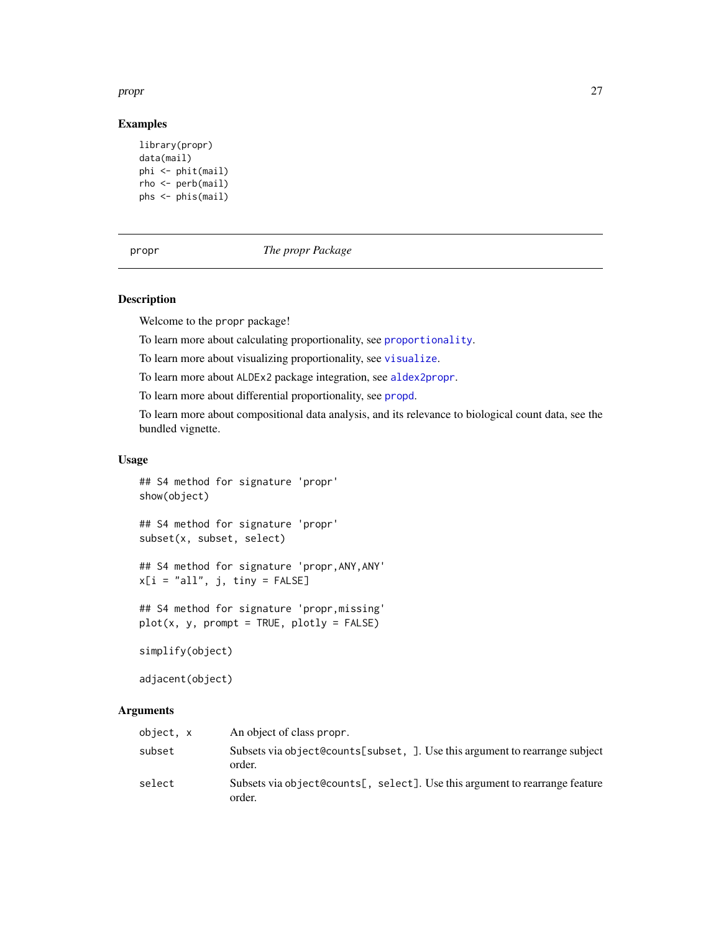#### <span id="page-26-0"></span>propr and the contract of the contract of the contract of the contract of the contract of the contract of the contract of the contract of the contract of the contract of the contract of the contract of the contract of the

#### Examples

```
library(propr)
data(mail)
phi <- phit(mail)
rho <- perb(mail)
phs <- phis(mail)
```
#### <span id="page-26-1"></span>propr *The propr Package*

# <span id="page-26-2"></span>Description

Welcome to the propr package!

To learn more about calculating proportionality, see [proportionality](#page-24-1).

To learn more about visualizing proportionality, see [visualize](#page-33-1).

To learn more about ALDEx2 package integration, see [aldex2propr](#page-4-1).

To learn more about differential proportionality, see [propd](#page-21-1).

To learn more about compositional data analysis, and its relevance to biological count data, see the bundled vignette.

#### Usage

## S4 method for signature 'propr' show(object)

## S4 method for signature 'propr' subset(x, subset, select)

## S4 method for signature 'propr,ANY,ANY'  $x[i = "all", j, tiny = FALSE]$ 

## S4 method for signature 'propr,missing'  $plot(x, y, prompt = TRUE, plotly = FALSE)$ 

simplify(object)

adjacent(object)

#### Arguments

| object, x | An object of class propr.                                                             |
|-----------|---------------------------------------------------------------------------------------|
| subset    | Subsets via object@counts[subset, ]. Use this argument to rearrange subject<br>order. |
| select    | Subsets via object@counts[, select]. Use this argument to rearrange feature<br>order. |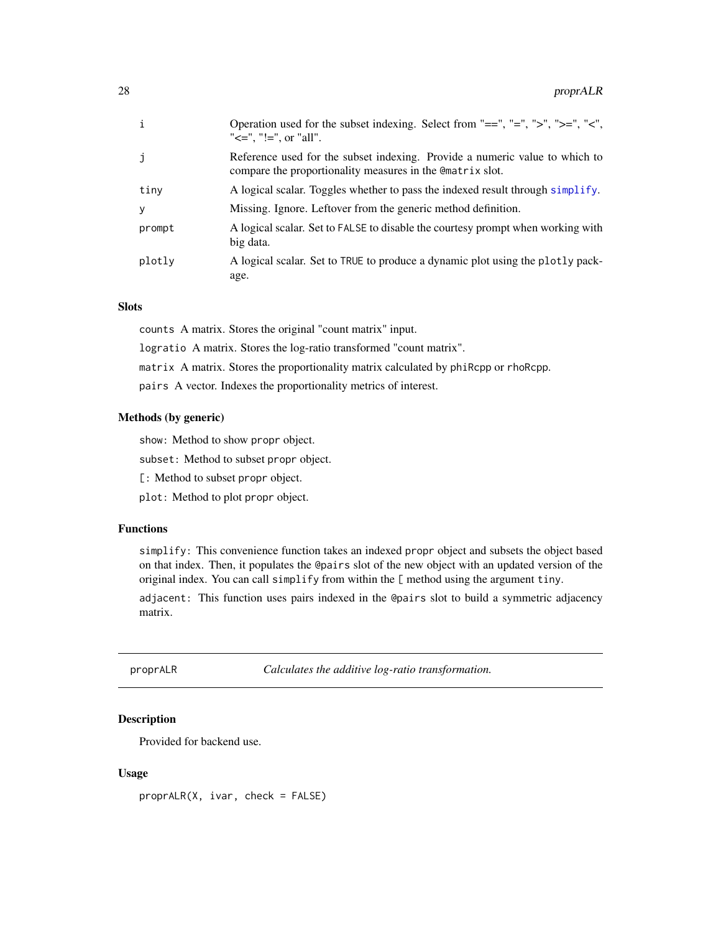<span id="page-27-0"></span>

| $\mathbf{i}$ | Operation used for the subset indexing. Select from "==", "=", ">", ">=", "<",<br>" $\leq$ =", "!=", or "all".                            |
|--------------|-------------------------------------------------------------------------------------------------------------------------------------------|
| j            | Reference used for the subset indexing. Provide a numeric value to which to<br>compare the proportionality measures in the Comatrix slot. |
| tiny         | A logical scalar. Toggles whether to pass the indexed result through simplify.                                                            |
| y            | Missing. Ignore. Leftover from the generic method definition.                                                                             |
| prompt       | A logical scalar. Set to FALSE to disable the courtesy prompt when working with<br>big data.                                              |
| plotly       | A logical scalar. Set to TRUE to produce a dynamic plot using the plotly pack-<br>age.                                                    |

#### Slots

counts A matrix. Stores the original "count matrix" input.

logratio A matrix. Stores the log-ratio transformed "count matrix".

matrix A matrix. Stores the proportionality matrix calculated by phiRcpp or rhoRcpp.

pairs A vector. Indexes the proportionality metrics of interest.

#### Methods (by generic)

show: Method to show propr object.

subset: Method to subset propr object.

[: Method to subset propr object.

plot: Method to plot propr object.

#### Functions

simplify: This convenience function takes an indexed propr object and subsets the object based on that index. Then, it populates the @pairs slot of the new object with an updated version of the original index. You can call simplify from within the [ method using the argument tiny.

adjacent: This function uses pairs indexed in the @pairs slot to build a symmetric adjacency matrix.

proprALR *Calculates the additive log-ratio transformation.*

#### Description

Provided for backend use.

#### Usage

proprALR(X, ivar, check = FALSE)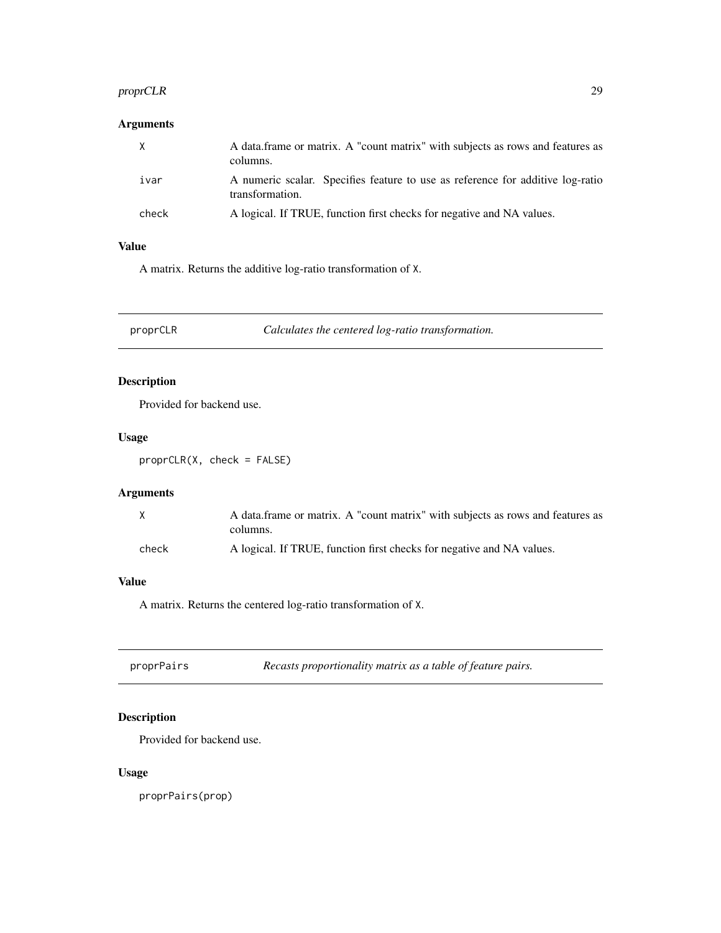# <span id="page-28-0"></span>proprCLR 29

# Arguments

| X     | A data frame or matrix. A "count matrix" with subjects as rows and features as<br>columns.        |
|-------|---------------------------------------------------------------------------------------------------|
| ivar  | A numeric scalar. Specifies feature to use as reference for additive log-ratio<br>transformation. |
| check | A logical. If TRUE, function first checks for negative and NA values.                             |

# Value

A matrix. Returns the additive log-ratio transformation of X.

proprCLR *Calculates the centered log-ratio transformation.*

# Description

Provided for backend use.

#### Usage

proprCLR(X, check = FALSE)

# Arguments

| X     | A data frame or matrix. A "count matrix" with subjects as rows and features as |
|-------|--------------------------------------------------------------------------------|
|       | columns.                                                                       |
| check | A logical. If TRUE, function first checks for negative and NA values.          |

#### Value

A matrix. Returns the centered log-ratio transformation of X.

| proprPairs | Recasts proportionality matrix as a table of feature pairs. |
|------------|-------------------------------------------------------------|
|------------|-------------------------------------------------------------|

# Description

Provided for backend use.

# Usage

proprPairs(prop)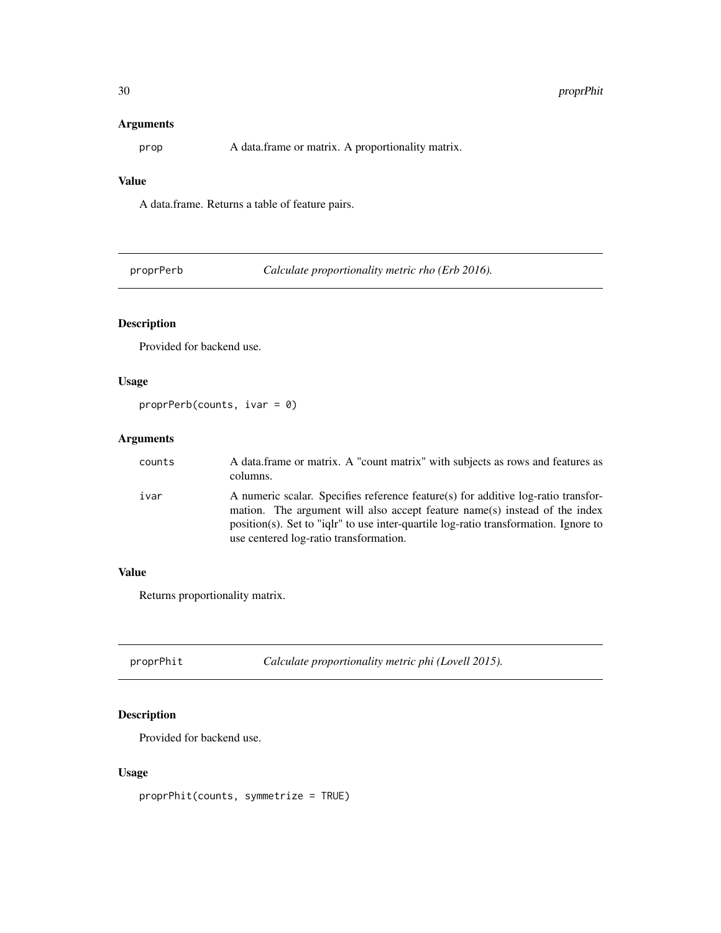#### <span id="page-29-0"></span>Arguments

prop A data.frame or matrix. A proportionality matrix.

# Value

A data.frame. Returns a table of feature pairs.

proprPerb *Calculate proportionality metric rho (Erb 2016).*

# Description

Provided for backend use.

# Usage

```
proprPerb(counts, ivar = 0)
```
# Arguments

| counts | A data frame or matrix. A "count matrix" with subjects as rows and features as<br>columns.                                                                                                                                                                                                           |
|--------|------------------------------------------------------------------------------------------------------------------------------------------------------------------------------------------------------------------------------------------------------------------------------------------------------|
| ivar   | A numeric scalar. Specifies reference feature(s) for additive log-ratio transfor-<br>mation. The argument will also accept feature name(s) instead of the index<br>$position(s)$ . Set to "ight" to use inter-quartile log-ratio transformation. Ignore to<br>use centered log-ratio transformation. |

#### Value

Returns proportionality matrix.

proprPhit *Calculate proportionality metric phi (Lovell 2015).*

# Description

Provided for backend use.

#### Usage

proprPhit(counts, symmetrize = TRUE)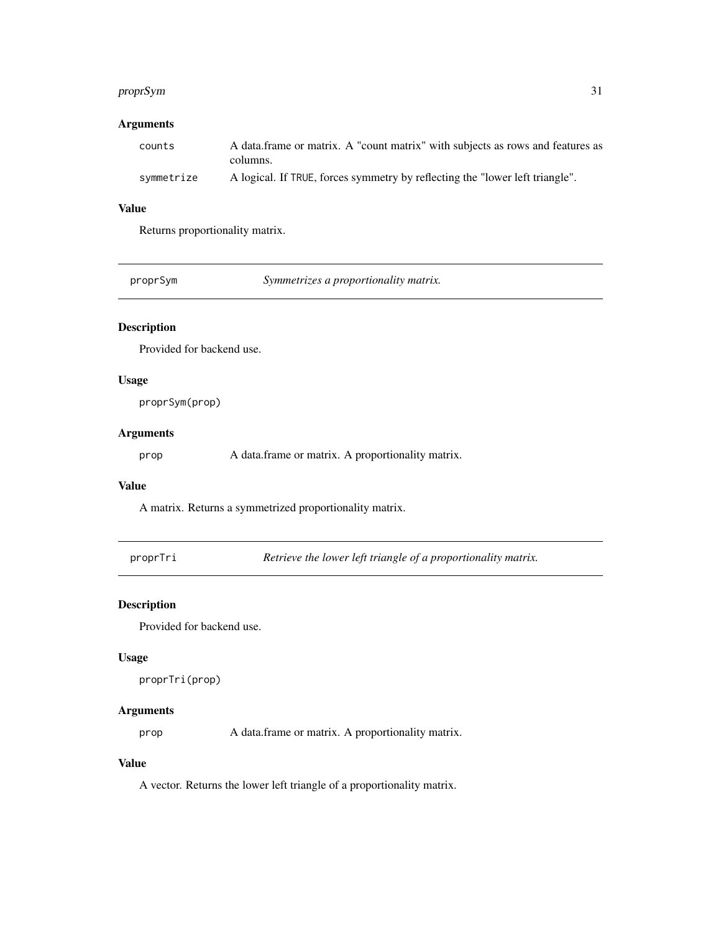#### <span id="page-30-0"></span>proprSym 31

# Arguments

| counts     | A data frame or matrix. A "count matrix" with subjects as rows and features as |
|------------|--------------------------------------------------------------------------------|
|            | columns.                                                                       |
| svmmetrize | A logical. If TRUE, forces symmetry by reflecting the "lower left triangle".   |

# Value

Returns proportionality matrix.

proprSym *Symmetrizes a proportionality matrix.*

# Description

Provided for backend use.

#### Usage

proprSym(prop)

# Arguments

prop A data.frame or matrix. A proportionality matrix.

#### Value

A matrix. Returns a symmetrized proportionality matrix.

proprTri *Retrieve the lower left triangle of a proportionality matrix.*

# Description

Provided for backend use.

#### Usage

proprTri(prop)

# Arguments

prop A data.frame or matrix. A proportionality matrix.

# Value

A vector. Returns the lower left triangle of a proportionality matrix.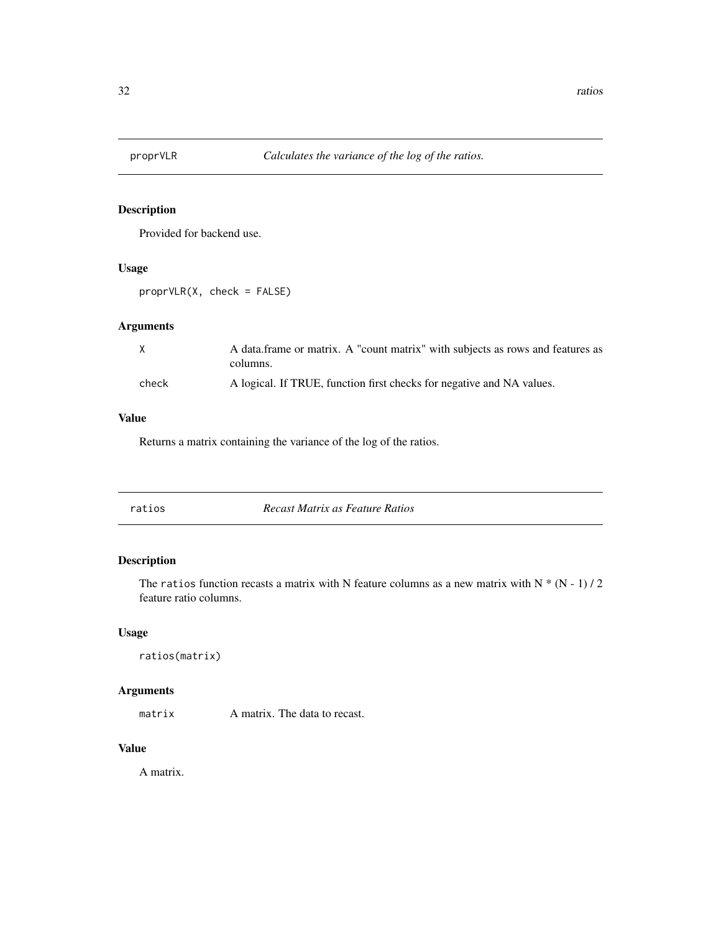<span id="page-31-0"></span>

Provided for backend use.

#### Usage

proprVLR(X, check = FALSE)

# Arguments

| X     | A data frame or matrix. A "count matrix" with subjects as rows and features as<br>columns. |
|-------|--------------------------------------------------------------------------------------------|
| check | A logical. If TRUE, function first checks for negative and NA values.                      |

# Value

Returns a matrix containing the variance of the log of the ratios.

| ratios | Recast Matrix as Feature Ratios |  |
|--------|---------------------------------|--|
|        |                                 |  |

# Description

The ratios function recasts a matrix with N feature columns as a new matrix with  $N * (N - 1) / 2$ feature ratio columns.

# Usage

```
ratios(matrix)
```
# Arguments

matrix A matrix. The data to recast.

# Value

A matrix.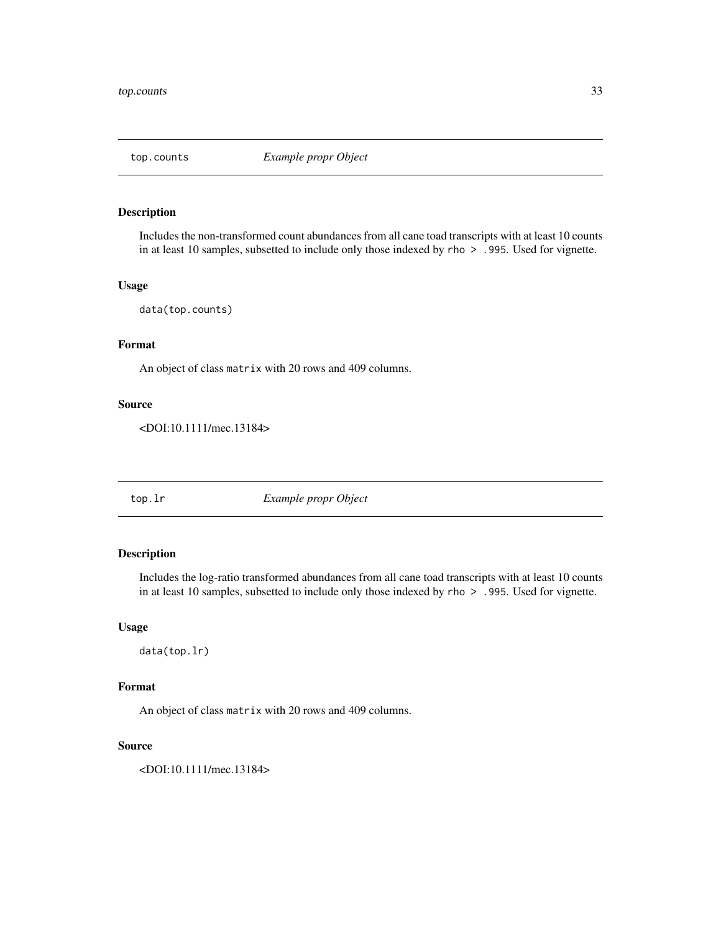<span id="page-32-0"></span>

Includes the non-transformed count abundances from all cane toad transcripts with at least 10 counts in at least 10 samples, subsetted to include only those indexed by rho > .995. Used for vignette.

#### Usage

data(top.counts)

# Format

An object of class matrix with 20 rows and 409 columns.

#### Source

<DOI:10.1111/mec.13184>

top.lr *Example propr Object*

#### Description

Includes the log-ratio transformed abundances from all cane toad transcripts with at least 10 counts in at least 10 samples, subsetted to include only those indexed by rho > .995. Used for vignette.

#### Usage

data(top.lr)

#### Format

An object of class matrix with 20 rows and 409 columns.

#### Source

<DOI:10.1111/mec.13184>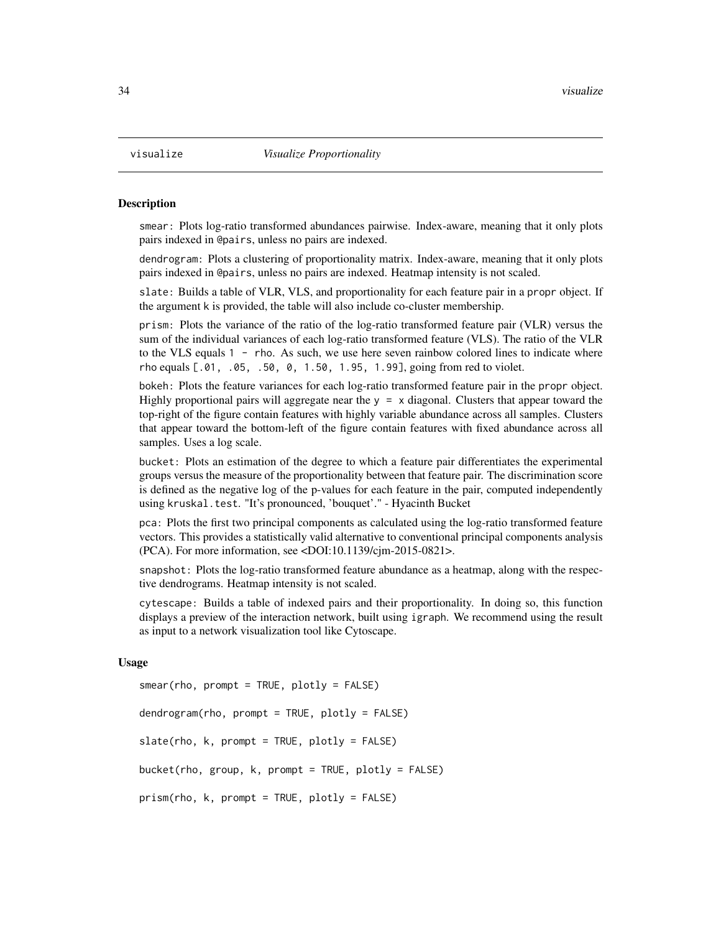smear: Plots log-ratio transformed abundances pairwise. Index-aware, meaning that it only plots pairs indexed in @pairs, unless no pairs are indexed.

dendrogram: Plots a clustering of proportionality matrix. Index-aware, meaning that it only plots pairs indexed in @pairs, unless no pairs are indexed. Heatmap intensity is not scaled.

slate: Builds a table of VLR, VLS, and proportionality for each feature pair in a propr object. If the argument k is provided, the table will also include co-cluster membership.

prism: Plots the variance of the ratio of the log-ratio transformed feature pair (VLR) versus the sum of the individual variances of each log-ratio transformed feature (VLS). The ratio of the VLR to the VLS equals  $1 -$  rho. As such, we use here seven rainbow colored lines to indicate where rho equals [.01, .05, .50, 0, 1.50, 1.95, 1.99], going from red to violet.

bokeh: Plots the feature variances for each log-ratio transformed feature pair in the propr object. Highly proportional pairs will aggregate near the  $y = x$  diagonal. Clusters that appear toward the top-right of the figure contain features with highly variable abundance across all samples. Clusters that appear toward the bottom-left of the figure contain features with fixed abundance across all samples. Uses a log scale.

bucket: Plots an estimation of the degree to which a feature pair differentiates the experimental groups versus the measure of the proportionality between that feature pair. The discrimination score is defined as the negative log of the p-values for each feature in the pair, computed independently using kruskal.test. "It's pronounced, 'bouquet'." - Hyacinth Bucket

pca: Plots the first two principal components as calculated using the log-ratio transformed feature vectors. This provides a statistically valid alternative to conventional principal components analysis (PCA). For more information, see <DOI:10.1139/cjm-2015-0821>.

snapshot: Plots the log-ratio transformed feature abundance as a heatmap, along with the respective dendrograms. Heatmap intensity is not scaled.

cytescape: Builds a table of indexed pairs and their proportionality. In doing so, this function displays a preview of the interaction network, built using igraph. We recommend using the result as input to a network visualization tool like Cytoscape.

#### Usage

```
smear(rho, prompt = TRUE, plotly = FALSE)
dendrogram(rho, prompt = TRUE, plotly = FALSE)
slate(rho, k, prompt = TRUE, plotly = FALSE)bucket(rho, group, k, prompt = TRUE, plotly = FALSE)
prism(rho, k, prompt = TRUE, plotly = FALSE)
```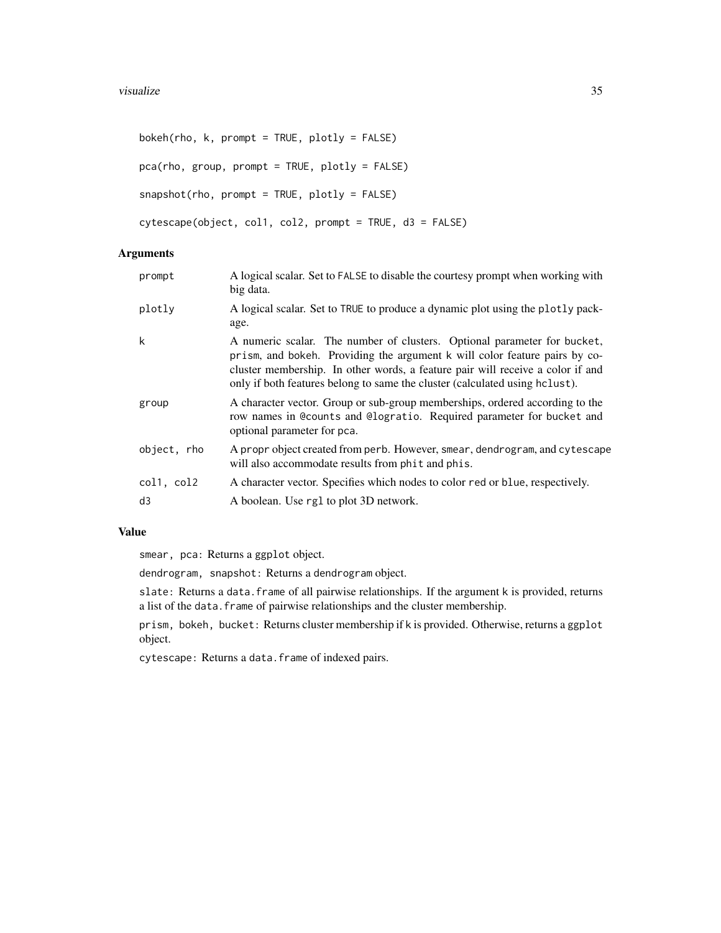```
boken(rho, k, prompt = TRUE, plotly = FALSE)pca(rho, group, prompt = TRUE, plotly = FALSE)
snapshot(rho, prompt = TRUE, plotly = FALSE)
cytescape(object, col1, col2, prompt = TRUE, d3 = FALSE)
```
# Arguments

| prompt      | A logical scalar. Set to FALSE to disable the courtesy prompt when working with<br>big data.                                                                                                                                                                                                                            |
|-------------|-------------------------------------------------------------------------------------------------------------------------------------------------------------------------------------------------------------------------------------------------------------------------------------------------------------------------|
| plotly      | A logical scalar. Set to TRUE to produce a dynamic plot using the plotly pack-<br>age.                                                                                                                                                                                                                                  |
| k           | A numeric scalar. The number of clusters. Optional parameter for bucket,<br>prism, and bokeh. Providing the argument k will color feature pairs by co-<br>cluster membership. In other words, a feature pair will receive a color if and<br>only if both features belong to same the cluster (calculated using hclust). |
| group       | A character vector. Group or sub-group memberships, ordered according to the<br>row names in @counts and @logratio. Required parameter for bucket and<br>optional parameter for pca.                                                                                                                                    |
| object, rho | A propr object created from perb. However, smear, dendrogram, and cytescape<br>will also accommodate results from phit and phis.                                                                                                                                                                                        |
| col1, col2  | A character vector. Specifies which nodes to color red or blue, respectively.                                                                                                                                                                                                                                           |
| d3          | A boolean. Use rg1 to plot 3D network.                                                                                                                                                                                                                                                                                  |
|             |                                                                                                                                                                                                                                                                                                                         |

# Value

smear, pca: Returns a ggplot object.

dendrogram, snapshot: Returns a dendrogram object.

slate: Returns a data.frame of all pairwise relationships. If the argument k is provided, returns a list of the data. frame of pairwise relationships and the cluster membership.

prism, bokeh, bucket: Returns cluster membership if k is provided. Otherwise, returns a ggplot object.

cytescape: Returns a data.frame of indexed pairs.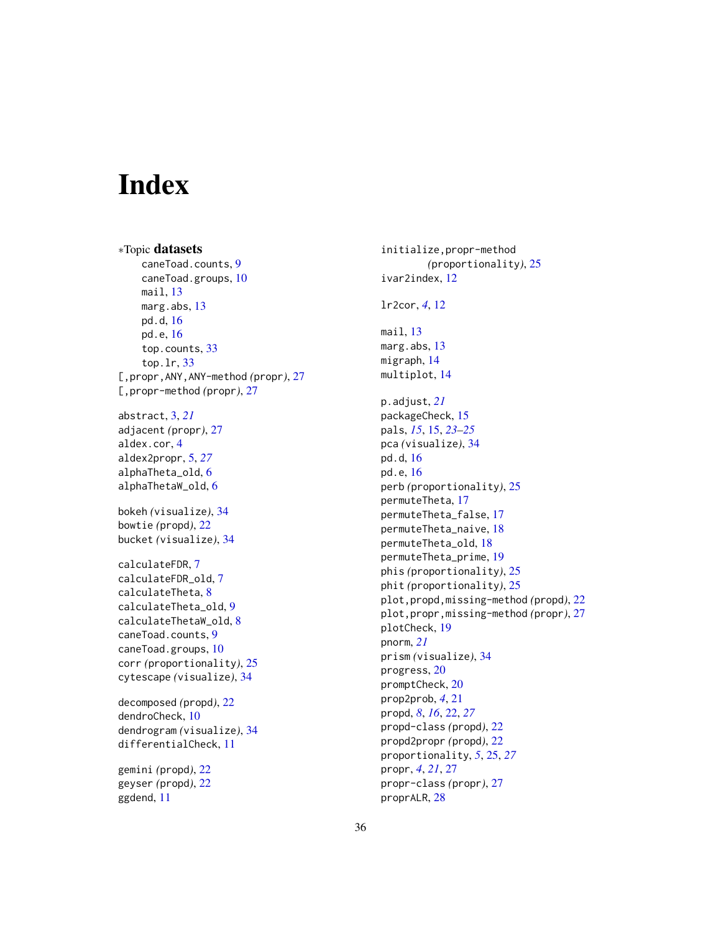# <span id="page-35-0"></span>**Index**

∗Topic datasets caneToad.counts, [9](#page-8-0) caneToad.groups, [10](#page-9-0) mail, [13](#page-12-0) marg.abs, [13](#page-12-0) pd.d, [16](#page-15-0) pd.e, [16](#page-15-0) top.counts, [33](#page-32-0) top.lr, [33](#page-32-0) [,propr,ANY,ANY-method *(*propr*)*, [27](#page-26-0) [,propr-method *(*propr*)*, [27](#page-26-0) abstract, [3,](#page-2-0) *[21](#page-20-0)* adjacent *(*propr*)*, [27](#page-26-0) aldex.cor, [4](#page-3-0) aldex2propr, [5,](#page-4-0) *[27](#page-26-0)* alphaTheta\_old, [6](#page-5-0) alphaThetaW\_old, [6](#page-5-0) bokeh *(*visualize*)*, [34](#page-33-0) bowtie *(*propd*)*, [22](#page-21-0) bucket *(*visualize*)*, [34](#page-33-0) calculateFDR, [7](#page-6-0) calculateFDR\_old, [7](#page-6-0) calculateTheta, [8](#page-7-0) calculateTheta\_old, [9](#page-8-0) calculateThetaW\_old, [8](#page-7-0) caneToad.counts, [9](#page-8-0) caneToad.groups, [10](#page-9-0) corr *(*proportionality*)*, [25](#page-24-0) cytescape *(*visualize*)*, [34](#page-33-0) decomposed *(*propd*)*, [22](#page-21-0) dendroCheck, [10](#page-9-0) dendrogram *(*visualize*)*, [34](#page-33-0) differentialCheck, [11](#page-10-0) gemini *(*propd*)*, [22](#page-21-0) geyser *(*propd*)*, [22](#page-21-0) ggdend, [11](#page-10-0)

initialize,propr-method *(*proportionality*)*, [25](#page-24-0) ivar2index, [12](#page-11-0) lr2cor, *[4](#page-3-0)*, [12](#page-11-0) mail, [13](#page-12-0) marg.abs, [13](#page-12-0) migraph, [14](#page-13-0) multiplot, [14](#page-13-0) p.adjust, *[21](#page-20-0)* packageCheck, [15](#page-14-0) pals, *[15](#page-14-0)*, [15,](#page-14-0) *[23](#page-22-0)[–25](#page-24-0)* pca *(*visualize*)*, [34](#page-33-0) pd.d, [16](#page-15-0) pd.e, [16](#page-15-0) perb *(*proportionality*)*, [25](#page-24-0) permuteTheta, [17](#page-16-0) permuteTheta\_false, [17](#page-16-0) permuteTheta\_naive, [18](#page-17-0) permuteTheta\_old, [18](#page-17-0) permuteTheta\_prime, [19](#page-18-0) phis *(*proportionality*)*, [25](#page-24-0) phit *(*proportionality*)*, [25](#page-24-0) plot,propd,missing-method *(*propd*)*, [22](#page-21-0) plot,propr,missing-method *(*propr*)*, [27](#page-26-0) plotCheck, [19](#page-18-0) pnorm, *[21](#page-20-0)* prism *(*visualize*)*, [34](#page-33-0) progress, [20](#page-19-0) promptCheck, [20](#page-19-0) prop2prob, *[4](#page-3-0)*, [21](#page-20-0) propd, *[8](#page-7-0)*, *[16](#page-15-0)*, [22,](#page-21-0) *[27](#page-26-0)* propd-class *(*propd*)*, [22](#page-21-0) propd2propr *(*propd*)*, [22](#page-21-0) proportionality, *[5](#page-4-0)*, [25,](#page-24-0) *[27](#page-26-0)* propr, *[4](#page-3-0)*, *[21](#page-20-0)*, [27](#page-26-0) propr-class *(*propr*)*, [27](#page-26-0) proprALR, [28](#page-27-0)